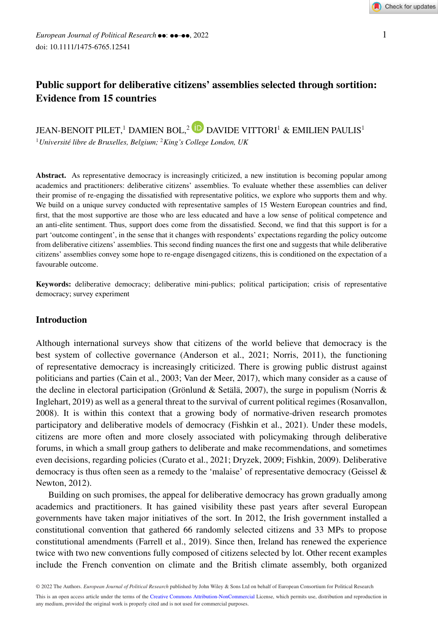# **Public support for deliberative citizens' assemblies selected through sortition: Evidence from 15 countries**

# JEAN-BENOIT PILET,<sup>1</sup> DAMIEN BOL,<sup>2</sup> D DAVIDE VITTORI<sup>1</sup> & EMILIEN PAULIS<sup>1</sup>

<sup>1</sup>*Université libre de Bruxelles, Belgium;* <sup>2</sup>*King's College London, UK*

Abstract. As representative democracy is increasingly criticized, a new institution is becoming popular among academics and practitioners: deliberative citizens' assemblies. To evaluate whether these assemblies can deliver their promise of re-engaging the dissatisfied with representative politics, we explore who supports them and why. We build on a unique survey conducted with representative samples of 15 Western European countries and find, first, that the most supportive are those who are less educated and have a low sense of political competence and an anti-elite sentiment. Thus, support does come from the dissatisfied. Second, we find that this support is for a part 'outcome contingent', in the sense that it changes with respondents' expectations regarding the policy outcome from deliberative citizens' assemblies. This second finding nuances the first one and suggests that while deliberative citizens' assemblies convey some hope to re-engage disengaged citizens, this is conditioned on the expectation of a favourable outcome.

**Keywords:** deliberative democracy; deliberative mini-publics; political participation; crisis of representative democracy; survey experiment

## **Introduction**

Although international surveys show that citizens of the world believe that democracy is the best system of collective governance (Anderson et al., 2021; Norris, 2011), the functioning of representative democracy is increasingly criticized. There is growing public distrust against politicians and parties (Cain et al., 2003; Van der Meer, 2017), which many consider as a cause of the decline in electoral participation (Grönlund & Setälä, 2007), the surge in populism (Norris & Inglehart, 2019) as well as a general threat to the survival of current political regimes (Rosanvallon, 2008). It is within this context that a growing body of normative-driven research promotes participatory and deliberative models of democracy (Fishkin et al., 2021). Under these models, citizens are more often and more closely associated with policymaking through deliberative forums, in which a small group gathers to deliberate and make recommendations, and sometimes even decisions, regarding policies (Curato et al., 2021; Dryzek, 2009; Fishkin, 2009). Deliberative democracy is thus often seen as a remedy to the 'malaise' of representative democracy (Geissel  $\&$ Newton, 2012).

Building on such promises, the appeal for deliberative democracy has grown gradually among academics and practitioners. It has gained visibility these past years after several European governments have taken major initiatives of the sort. In 2012, the Irish government installed a constitutional convention that gathered 66 randomly selected citizens and 33 MPs to propose constitutional amendments (Farrell et al., 2019). Since then, Ireland has renewed the experience twice with two new conventions fully composed of citizens selected by lot. Other recent examples include the French convention on climate and the British climate assembly, both organized

<sup>© 2022</sup> The Authors. *European Journal of Political Research* published by John Wiley & Sons Ltd on behalf of European Consortium for Political Research This is an open access article under the terms of the [Creative Commons Attribution-NonCommercial](http://creativecommons.org/licenses/by-nc/4.0/) License, which permits use, distribution and reproduction in any medium, provided the original work is properly cited and is not used for commercial purposes.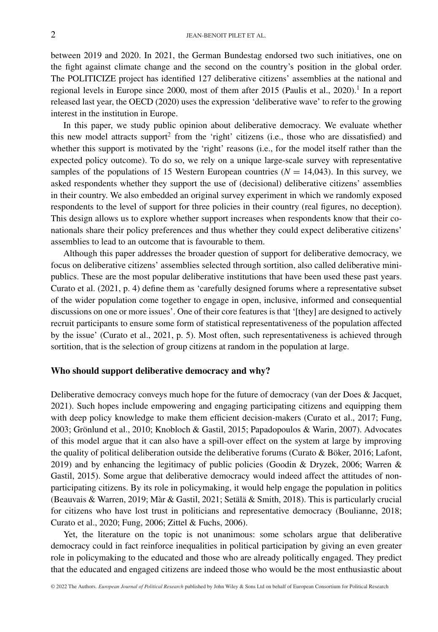between 2019 and 2020. In 2021, the German Bundestag endorsed two such initiatives, one on the fight against climate change and the second on the country's position in the global order. The POLITICIZE project has identified 127 deliberative citizens' assemblies at the national and regional levels in Europe since 2000, most of them after 2015 (Paulis et al., 2020).<sup>1</sup> In a report released last year, the OECD (2020) uses the expression 'deliberative wave' to refer to the growing interest in the institution in Europe.

In this paper, we study public opinion about deliberative democracy. We evaluate whether this new model attracts support<sup>2</sup> from the 'right' citizens (i.e., those who are dissatisfied) and whether this support is motivated by the 'right' reasons (i.e., for the model itself rather than the expected policy outcome). To do so, we rely on a unique large-scale survey with representative samples of the populations of 15 Western European countries  $(N = 14,043)$ . In this survey, we asked respondents whether they support the use of (decisional) deliberative citizens' assemblies in their country. We also embedded an original survey experiment in which we randomly exposed respondents to the level of support for three policies in their country (real figures, no deception). This design allows us to explore whether support increases when respondents know that their conationals share their policy preferences and thus whether they could expect deliberative citizens' assemblies to lead to an outcome that is favourable to them.

Although this paper addresses the broader question of support for deliberative democracy, we focus on deliberative citizens' assemblies selected through sortition, also called deliberative minipublics. These are the most popular deliberative institutions that have been used these past years. Curato et al. (2021, p. 4) define them as 'carefully designed forums where a representative subset of the wider population come together to engage in open, inclusive, informed and consequential discussions on one or more issues'. One of their core features is that '[they] are designed to actively recruit participants to ensure some form of statistical representativeness of the population affected by the issue' (Curato et al., 2021, p. 5). Most often, such representativeness is achieved through sortition, that is the selection of group citizens at random in the population at large.

#### **Who should support deliberative democracy and why?**

Deliberative democracy conveys much hope for the future of democracy (van der Does & Jacquet, 2021). Such hopes include empowering and engaging participating citizens and equipping them with deep policy knowledge to make them efficient decision-makers (Curato et al., 2017; Fung, 2003; Grönlund et al., 2010; Knobloch & Gastil, 2015; Papadopoulos & Warin, 2007). Advocates of this model argue that it can also have a spill-over effect on the system at large by improving the quality of political deliberation outside the deliberative forums (Curato & Böker, 2016; Lafont, 2019) and by enhancing the legitimacy of public policies (Goodin & Dryzek, 2006; Warren & Gastil, 2015). Some argue that deliberative democracy would indeed affect the attitudes of nonparticipating citizens. By its role in policymaking, it would help engage the population in politics (Beauvais & Warren, 2019; Màr & Gastil, 2021; Setälä & Smith, 2018). This is particularly crucial for citizens who have lost trust in politicians and representative democracy (Boulianne, 2018; Curato et al., 2020; Fung, 2006; Zittel & Fuchs, 2006).

Yet, the literature on the topic is not unanimous: some scholars argue that deliberative democracy could in fact reinforce inequalities in political participation by giving an even greater role in policymaking to the educated and those who are already politically engaged. They predict that the educated and engaged citizens are indeed those who would be the most enthusiastic about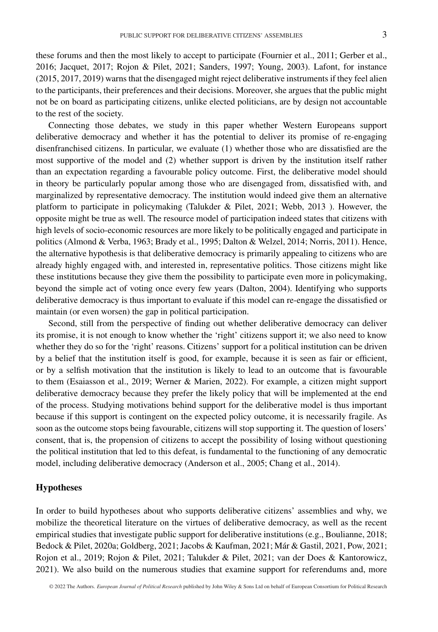these forums and then the most likely to accept to participate (Fournier et al., 2011; Gerber et al., 2016; Jacquet, 2017; Rojon & Pilet, 2021; Sanders, 1997; Young, 2003). Lafont, for instance (2015, 2017, 2019) warns that the disengaged might reject deliberative instruments if they feel alien to the participants, their preferences and their decisions. Moreover, she argues that the public might not be on board as participating citizens, unlike elected politicians, are by design not accountable to the rest of the society.

Connecting those debates, we study in this paper whether Western Europeans support deliberative democracy and whether it has the potential to deliver its promise of re-engaging disenfranchised citizens. In particular, we evaluate (1) whether those who are dissatisfied are the most supportive of the model and (2) whether support is driven by the institution itself rather than an expectation regarding a favourable policy outcome. First, the deliberative model should in theory be particularly popular among those who are disengaged from, dissatisfied with, and marginalized by representative democracy. The institution would indeed give them an alternative platform to participate in policymaking (Talukder & Pilet, 2021; Webb, 2013 ). However, the opposite might be true as well. The resource model of participation indeed states that citizens with high levels of socio-economic resources are more likely to be politically engaged and participate in politics (Almond & Verba, 1963; Brady et al., 1995; Dalton & Welzel, 2014; Norris, 2011). Hence, the alternative hypothesis is that deliberative democracy is primarily appealing to citizens who are already highly engaged with, and interested in, representative politics. Those citizens might like these institutions because they give them the possibility to participate even more in policymaking, beyond the simple act of voting once every few years (Dalton, 2004). Identifying who supports deliberative democracy is thus important to evaluate if this model can re-engage the dissatisfied or maintain (or even worsen) the gap in political participation.

Second, still from the perspective of finding out whether deliberative democracy can deliver its promise, it is not enough to know whether the 'right' citizens support it; we also need to know whether they do so for the 'right' reasons. Citizens' support for a political institution can be driven by a belief that the institution itself is good, for example, because it is seen as fair or efficient, or by a selfish motivation that the institution is likely to lead to an outcome that is favourable to them (Esaiasson et al., 2019; Werner & Marien, 2022). For example, a citizen might support deliberative democracy because they prefer the likely policy that will be implemented at the end of the process. Studying motivations behind support for the deliberative model is thus important because if this support is contingent on the expected policy outcome, it is necessarily fragile. As soon as the outcome stops being favourable, citizens will stop supporting it. The question of losers' consent, that is, the propension of citizens to accept the possibility of losing without questioning the political institution that led to this defeat, is fundamental to the functioning of any democratic model, including deliberative democracy (Anderson et al., 2005; Chang et al., 2014).

## **Hypotheses**

In order to build hypotheses about who supports deliberative citizens' assemblies and why, we mobilize the theoretical literature on the virtues of deliberative democracy, as well as the recent empirical studies that investigate public support for deliberative institutions (e.g., Boulianne, 2018; Bedock & Pilet, 2020a; Goldberg, 2021; Jacobs & Kaufman, 2021; Már & Gastil, 2021, Pow, 2021; Rojon et al., 2019; Rojon & Pilet, 2021; Talukder & Pilet, 2021; van der Does & Kantorowicz, 2021). We also build on the numerous studies that examine support for referendums and, more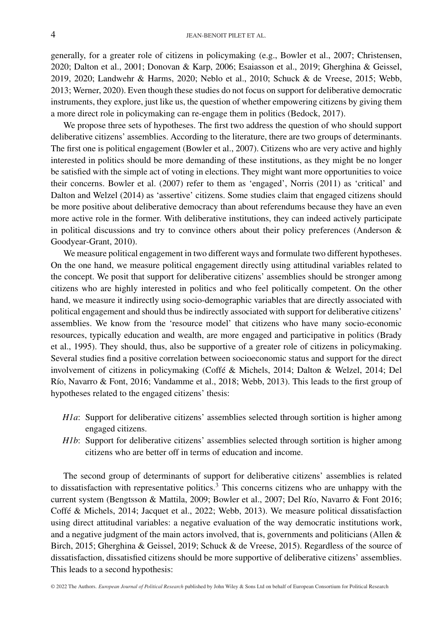generally, for a greater role of citizens in policymaking (e.g., Bowler et al., 2007; Christensen, 2020; Dalton et al., 2001; Donovan & Karp, 2006; Esaiasson et al., 2019; Gherghina & Geissel, 2019, 2020; Landwehr & Harms, 2020; Neblo et al., 2010; Schuck & de Vreese, 2015; Webb, 2013; Werner, 2020). Even though these studies do not focus on support for deliberative democratic instruments, they explore, just like us, the question of whether empowering citizens by giving them a more direct role in policymaking can re-engage them in politics (Bedock, 2017).

We propose three sets of hypotheses. The first two address the question of who should support deliberative citizens' assemblies. According to the literature, there are two groups of determinants. The first one is political engagement (Bowler et al., 2007). Citizens who are very active and highly interested in politics should be more demanding of these institutions, as they might be no longer be satisfied with the simple act of voting in elections. They might want more opportunities to voice their concerns. Bowler et al. (2007) refer to them as 'engaged', Norris (2011) as 'critical' and Dalton and Welzel (2014) as 'assertive' citizens. Some studies claim that engaged citizens should be more positive about deliberative democracy than about referendums because they have an even more active role in the former. With deliberative institutions, they can indeed actively participate in political discussions and try to convince others about their policy preferences (Anderson  $\&$ Goodyear-Grant, 2010).

We measure political engagement in two different ways and formulate two different hypotheses. On the one hand, we measure political engagement directly using attitudinal variables related to the concept. We posit that support for deliberative citizens' assemblies should be stronger among citizens who are highly interested in politics and who feel politically competent. On the other hand, we measure it indirectly using socio-demographic variables that are directly associated with political engagement and should thus be indirectly associated with support for deliberative citizens' assemblies. We know from the 'resource model' that citizens who have many socio-economic resources, typically education and wealth, are more engaged and participative in politics (Brady et al., 1995). They should, thus, also be supportive of a greater role of citizens in policymaking. Several studies find a positive correlation between socioeconomic status and support for the direct involvement of citizens in policymaking (Coffé & Michels, 2014; Dalton & Welzel, 2014; Del Río, Navarro & Font, 2016; Vandamme et al., 2018; Webb, 2013). This leads to the first group of hypotheses related to the engaged citizens' thesis:

- *H1a*: Support for deliberative citizens' assemblies selected through sortition is higher among engaged citizens.
- *H1b*: Support for deliberative citizens' assemblies selected through sortition is higher among citizens who are better off in terms of education and income.

The second group of determinants of support for deliberative citizens' assemblies is related to dissatisfaction with representative politics.<sup>3</sup> This concerns citizens who are unhappy with the current system (Bengtsson & Mattila, 2009; Bowler et al., 2007; Del Río, Navarro & Font 2016; Coffé & Michels, 2014; Jacquet et al., 2022; Webb, 2013). We measure political dissatisfaction using direct attitudinal variables: a negative evaluation of the way democratic institutions work, and a negative judgment of the main actors involved, that is, governments and politicians (Allen  $\&$ Birch, 2015; Gherghina & Geissel, 2019; Schuck & de Vreese, 2015). Regardless of the source of dissatisfaction, dissatisfied citizens should be more supportive of deliberative citizens' assemblies. This leads to a second hypothesis: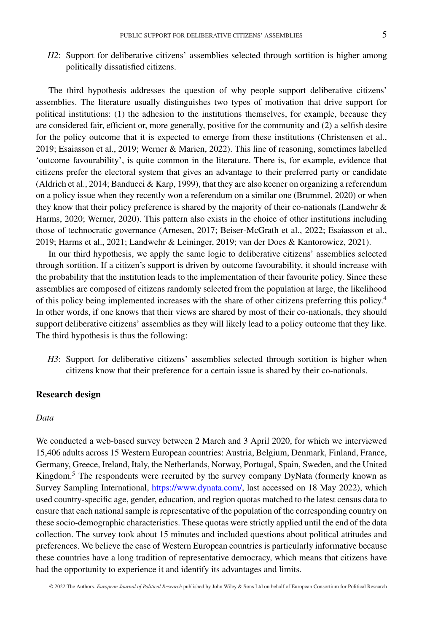*H2*: Support for deliberative citizens' assemblies selected through sortition is higher among politically dissatisfied citizens.

The third hypothesis addresses the question of why people support deliberative citizens' assemblies. The literature usually distinguishes two types of motivation that drive support for political institutions: (1) the adhesion to the institutions themselves, for example, because they are considered fair, efficient or, more generally, positive for the community and (2) a selfish desire for the policy outcome that it is expected to emerge from these institutions (Christensen et al., 2019; Esaiasson et al., 2019; Werner & Marien, 2022). This line of reasoning, sometimes labelled 'outcome favourability', is quite common in the literature. There is, for example, evidence that citizens prefer the electoral system that gives an advantage to their preferred party or candidate (Aldrich et al., 2014; Banducci & Karp, 1999), that they are also keener on organizing a referendum on a policy issue when they recently won a referendum on a similar one (Brummel, 2020) or when they know that their policy preference is shared by the majority of their co-nationals (Landwehr & Harms, 2020; Werner, 2020). This pattern also exists in the choice of other institutions including those of technocratic governance (Arnesen, 2017; Beiser-McGrath et al., 2022; Esaiasson et al., 2019; Harms et al., 2021; Landwehr & Leininger, 2019; van der Does & Kantorowicz, 2021).

In our third hypothesis, we apply the same logic to deliberative citizens' assemblies selected through sortition. If a citizen's support is driven by outcome favourability, it should increase with the probability that the institution leads to the implementation of their favourite policy. Since these assemblies are composed of citizens randomly selected from the population at large, the likelihood of this policy being implemented increases with the share of other citizens preferring this policy.4 In other words, if one knows that their views are shared by most of their co-nationals, they should support deliberative citizens' assemblies as they will likely lead to a policy outcome that they like. The third hypothesis is thus the following:

*H3*: Support for deliberative citizens' assemblies selected through sortition is higher when citizens know that their preference for a certain issue is shared by their co-nationals.

### **Research design**

#### *Data*

We conducted a web-based survey between 2 March and 3 April 2020, for which we interviewed 15,406 adults across 15 Western European countries: Austria, Belgium, Denmark, Finland, France, Germany, Greece, Ireland, Italy, the Netherlands, Norway, Portugal, Spain, Sweden, and the United Kingdom.<sup>5</sup> The respondents were recruited by the survey company DyNata (formerly known as Survey Sampling International, [https://www.dynata.com/,](https://www.dynata.com/) last accessed on 18 May 2022), which used country-specific age, gender, education, and region quotas matched to the latest census data to ensure that each national sample is representative of the population of the corresponding country on these socio-demographic characteristics. These quotas were strictly applied until the end of the data collection. The survey took about 15 minutes and included questions about political attitudes and preferences. We believe the case of Western European countries is particularly informative because these countries have a long tradition of representative democracy, which means that citizens have had the opportunity to experience it and identify its advantages and limits.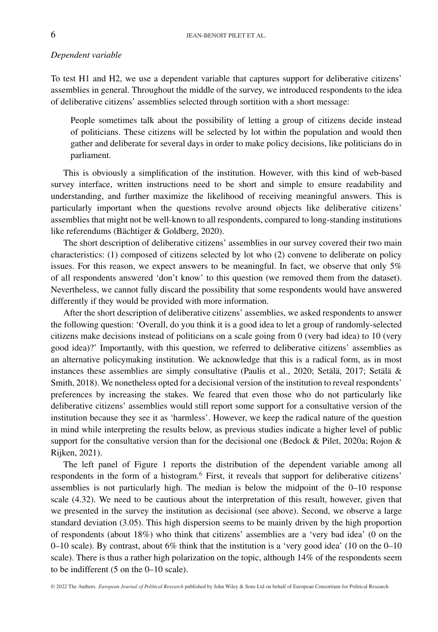### *Dependent variable*

To test H1 and H2, we use a dependent variable that captures support for deliberative citizens' assemblies in general. Throughout the middle of the survey, we introduced respondents to the idea of deliberative citizens' assemblies selected through sortition with a short message:

People sometimes talk about the possibility of letting a group of citizens decide instead of politicians. These citizens will be selected by lot within the population and would then gather and deliberate for several days in order to make policy decisions, like politicians do in parliament.

This is obviously a simplification of the institution. However, with this kind of web-based survey interface, written instructions need to be short and simple to ensure readability and understanding, and further maximize the likelihood of receiving meaningful answers. This is particularly important when the questions revolve around objects like deliberative citizens' assemblies that might not be well-known to all respondents, compared to long-standing institutions like referendums (Bächtiger & Goldberg, 2020).

The short description of deliberative citizens' assemblies in our survey covered their two main characteristics: (1) composed of citizens selected by lot who (2) convene to deliberate on policy issues. For this reason, we expect answers to be meaningful. In fact, we observe that only 5% of all respondents answered 'don't know' to this question (we removed them from the dataset). Nevertheless, we cannot fully discard the possibility that some respondents would have answered differently if they would be provided with more information.

After the short description of deliberative citizens' assemblies, we asked respondents to answer the following question: 'Overall, do you think it is a good idea to let a group of randomly-selected citizens make decisions instead of politicians on a scale going from 0 (very bad idea) to 10 (very good idea)?' Importantly, with this question, we referred to deliberative citizens' assemblies as an alternative policymaking institution. We acknowledge that this is a radical form, as in most instances these assemblies are simply consultative (Paulis et al., 2020; Setälä, 2017; Setälä & Smith, 2018). We nonetheless opted for a decisional version of the institution to reveal respondents' preferences by increasing the stakes. We feared that even those who do not particularly like deliberative citizens' assemblies would still report some support for a consultative version of the institution because they see it as 'harmless'. However, we keep the radical nature of the question in mind while interpreting the results below, as previous studies indicate a higher level of public support for the consultative version than for the decisional one (Bedock & Pilet, 2020a; Rojon & Rijken, 2021).

The left panel of Figure 1 reports the distribution of the dependent variable among all respondents in the form of a histogram.<sup>6</sup> First, it reveals that support for deliberative citizens' assemblies is not particularly high. The median is below the midpoint of the 0–10 response scale (4.32). We need to be cautious about the interpretation of this result, however, given that we presented in the survey the institution as decisional (see above). Second, we observe a large standard deviation (3.05). This high dispersion seems to be mainly driven by the high proportion of respondents (about 18%) who think that citizens' assemblies are a 'very bad idea' (0 on the 0–10 scale). By contrast, about 6% think that the institution is a 'very good idea' (10 on the 0–10 scale). There is thus a rather high polarization on the topic, although 14% of the respondents seem to be indifferent (5 on the 0–10 scale).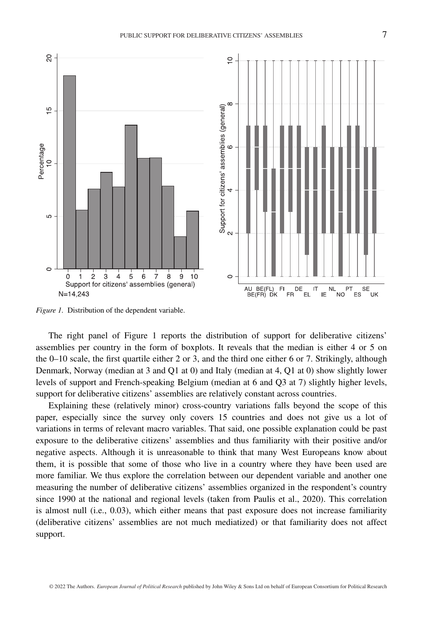

*Figure 1.* Distribution of the dependent variable.

The right panel of Figure 1 reports the distribution of support for deliberative citizens' assemblies per country in the form of boxplots. It reveals that the median is either 4 or 5 on the 0–10 scale, the first quartile either 2 or 3, and the third one either 6 or 7. Strikingly, although Denmark, Norway (median at 3 and Q1 at 0) and Italy (median at 4, Q1 at 0) show slightly lower levels of support and French-speaking Belgium (median at 6 and Q3 at 7) slightly higher levels, support for deliberative citizens' assemblies are relatively constant across countries.

Explaining these (relatively minor) cross-country variations falls beyond the scope of this paper, especially since the survey only covers 15 countries and does not give us a lot of variations in terms of relevant macro variables. That said, one possible explanation could be past exposure to the deliberative citizens' assemblies and thus familiarity with their positive and/or negative aspects. Although it is unreasonable to think that many West Europeans know about them, it is possible that some of those who live in a country where they have been used are more familiar. We thus explore the correlation between our dependent variable and another one measuring the number of deliberative citizens' assemblies organized in the respondent's country since 1990 at the national and regional levels (taken from Paulis et al., 2020). This correlation is almost null (i.e., 0.03), which either means that past exposure does not increase familiarity (deliberative citizens' assemblies are not much mediatized) or that familiarity does not affect support.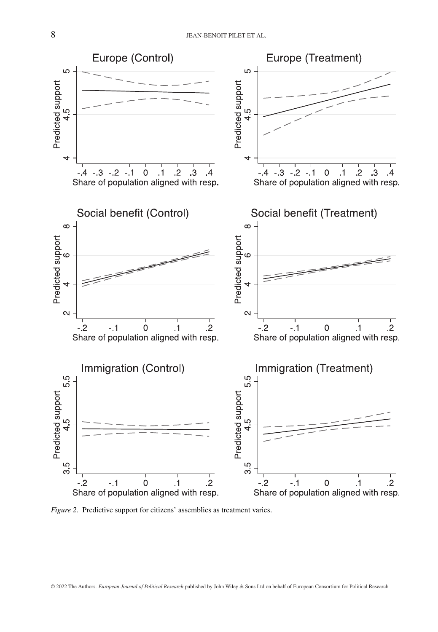

*Figure 2.* Predictive support for citizens' assemblies as treatment varies.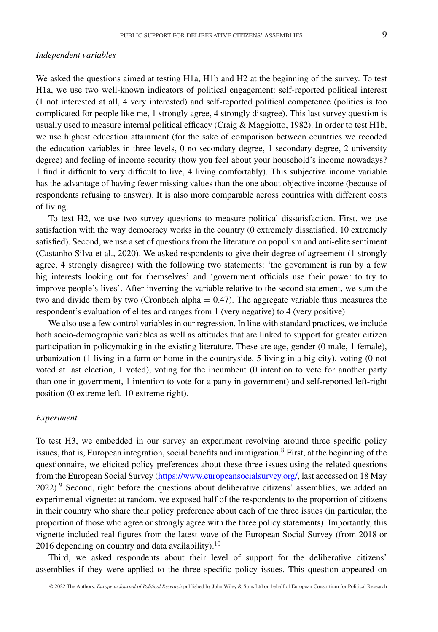#### *Independent variables*

We asked the questions aimed at testing H1a, H1b and H2 at the beginning of the survey. To test H1a, we use two well-known indicators of political engagement: self-reported political interest (1 not interested at all, 4 very interested) and self-reported political competence (politics is too complicated for people like me, 1 strongly agree, 4 strongly disagree). This last survey question is usually used to measure internal political efficacy (Craig & Maggiotto, 1982). In order to test H1b, we use highest education attainment (for the sake of comparison between countries we recoded the education variables in three levels, 0 no secondary degree, 1 secondary degree, 2 university degree) and feeling of income security (how you feel about your household's income nowadays? 1 find it difficult to very difficult to live, 4 living comfortably). This subjective income variable has the advantage of having fewer missing values than the one about objective income (because of respondents refusing to answer). It is also more comparable across countries with different costs of living.

To test H2, we use two survey questions to measure political dissatisfaction. First, we use satisfaction with the way democracy works in the country (0 extremely dissatisfied, 10 extremely satisfied). Second, we use a set of questions from the literature on populism and anti-elite sentiment (Castanho Silva et al., 2020). We asked respondents to give their degree of agreement (1 strongly agree, 4 strongly disagree) with the following two statements: 'the government is run by a few big interests looking out for themselves' and 'government officials use their power to try to improve people's lives'. After inverting the variable relative to the second statement, we sum the two and divide them by two (Cronbach alpha  $= 0.47$ ). The aggregate variable thus measures the respondent's evaluation of elites and ranges from 1 (very negative) to 4 (very positive)

We also use a few control variables in our regression. In line with standard practices, we include both socio-demographic variables as well as attitudes that are linked to support for greater citizen participation in policymaking in the existing literature. These are age, gender (0 male, 1 female), urbanization (1 living in a farm or home in the countryside, 5 living in a big city), voting (0 not voted at last election, 1 voted), voting for the incumbent (0 intention to vote for another party than one in government, 1 intention to vote for a party in government) and self-reported left-right position (0 extreme left, 10 extreme right).

### *Experiment*

To test H3, we embedded in our survey an experiment revolving around three specific policy issues, that is, European integration, social benefits and immigration. $8$  First, at the beginning of the questionnaire, we elicited policy preferences about these three issues using the related questions from the European Social Survey [\(https://www.europeansocialsurvey.org/,](https://www.europeansocialsurvey.org/) last accessed on 18 May 2022).<sup>9</sup> Second, right before the questions about deliberative citizens' assemblies, we added an experimental vignette: at random, we exposed half of the respondents to the proportion of citizens in their country who share their policy preference about each of the three issues (in particular, the proportion of those who agree or strongly agree with the three policy statements). Importantly, this vignette included real figures from the latest wave of the European Social Survey (from 2018 or 2016 depending on country and data availability). $10$ 

Third, we asked respondents about their level of support for the deliberative citizens' assemblies if they were applied to the three specific policy issues. This question appeared on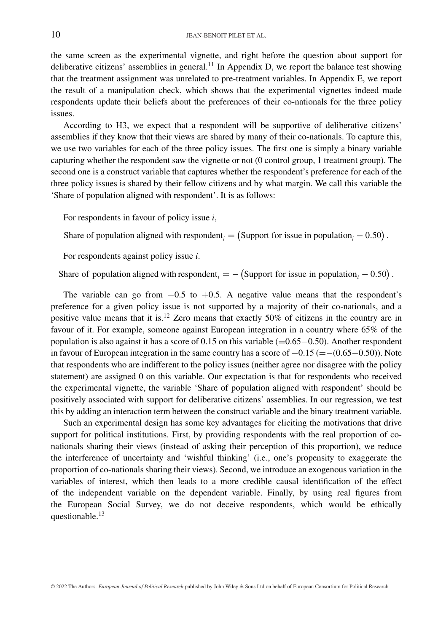the same screen as the experimental vignette, and right before the question about support for deliberative citizens' assemblies in general.<sup>11</sup> In Appendix D, we report the balance test showing that the treatment assignment was unrelated to pre-treatment variables. In Appendix E, we report the result of a manipulation check, which shows that the experimental vignettes indeed made respondents update their beliefs about the preferences of their co-nationals for the three policy issues.

According to H3, we expect that a respondent will be supportive of deliberative citizens' assemblies if they know that their views are shared by many of their co-nationals. To capture this, we use two variables for each of the three policy issues. The first one is simply a binary variable capturing whether the respondent saw the vignette or not (0 control group, 1 treatment group). The second one is a construct variable that captures whether the respondent's preference for each of the three policy issues is shared by their fellow citizens and by what margin. We call this variable the 'Share of population aligned with respondent'. It is as follows:

For respondents in favour of policy issue *i*,

Share of population aligned with respondent<sub>*i*</sub> = (Support for issue in population<sub>*i*</sub> - 0.50).

For respondents against policy issue *i*.

Share of population aligned with respondent<sub>*i*</sub> =  $-$  (Support for issue in population<sub>*i*</sub> – 0.50).

The variable can go from  $-0.5$  to  $+0.5$ . A negative value means that the respondent's preference for a given policy issue is not supported by a majority of their co-nationals, and a positive value means that it is.<sup>12</sup> Zero means that exactly 50% of citizens in the country are in favour of it. For example, someone against European integration in a country where 65% of the population is also against it has a score of 0.15 on this variable (=0.65−0.50). Another respondent in favour of European integration in the same country has a score of  $-0.15$  (= $-(0.65-0.50)$ ). Note that respondents who are indifferent to the policy issues (neither agree nor disagree with the policy statement) are assigned 0 on this variable. Our expectation is that for respondents who received the experimental vignette, the variable 'Share of population aligned with respondent' should be positively associated with support for deliberative citizens' assemblies. In our regression, we test this by adding an interaction term between the construct variable and the binary treatment variable.

Such an experimental design has some key advantages for eliciting the motivations that drive support for political institutions. First, by providing respondents with the real proportion of conationals sharing their views (instead of asking their perception of this proportion), we reduce the interference of uncertainty and 'wishful thinking' (i.e., one's propensity to exaggerate the proportion of co-nationals sharing their views). Second, we introduce an exogenous variation in the variables of interest, which then leads to a more credible causal identification of the effect of the independent variable on the dependent variable. Finally, by using real figures from the European Social Survey, we do not deceive respondents, which would be ethically questionable.<sup>13</sup>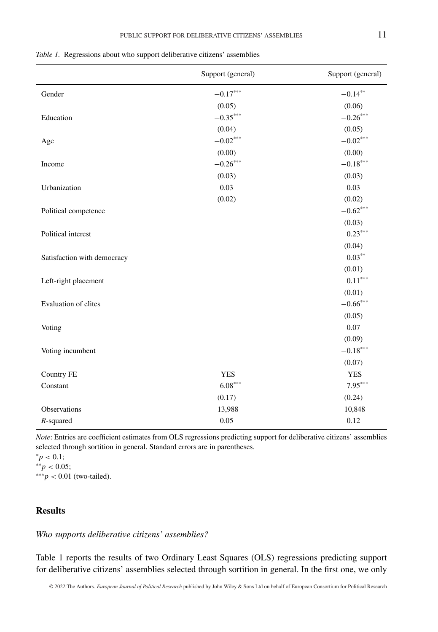|                             | Support (general) | Support (general) |
|-----------------------------|-------------------|-------------------|
| Gender                      | $-0.17***$        | $-0.14***$        |
|                             | (0.05)            | (0.06)            |
| Education                   | $-0.35***$        | $-0.26***$        |
|                             | (0.04)            | (0.05)            |
| Age                         | $-0.02***$        | $-0.02***$        |
|                             | (0.00)            | (0.00)            |
| Income                      | $-0.26***$        | $-0.18***$        |
|                             | (0.03)            | (0.03)            |
| Urbanization                | 0.03              | 0.03              |
|                             | (0.02)            | (0.02)            |
| Political competence        |                   | $-0.62***$        |
|                             |                   | (0.03)            |
| Political interest          |                   | $0.23***$         |
|                             |                   | (0.04)            |
| Satisfaction with democracy |                   | $0.03***$         |
|                             |                   | (0.01)            |
| Left-right placement        |                   | $0.11***$         |
|                             |                   | (0.01)            |
| Evaluation of elites        |                   | $-0.66***$        |
|                             |                   | (0.05)            |
| Voting                      |                   | 0.07              |
|                             |                   | (0.09)            |
| Voting incumbent            |                   | $-0.18***$        |
|                             |                   | (0.07)            |
| Country FE                  | <b>YES</b>        | <b>YES</b>        |
| Constant                    | $6.08***$         | $7.95***$         |
|                             | (0.17)            | (0.24)            |
| Observations                | 13,988            | 10,848            |
| $R$ -squared                | 0.05              | 0.12              |

*Table 1.* Regressions about who support deliberative citizens' assemblies

*Note*: Entries are coefficient estimates from OLS regressions predicting support for deliberative citizens' assemblies selected through sortition in general. Standard errors are in parentheses.

*;* ∗∗*p <* 0.05; ∗∗∗*p <* 0.01 (two-tailed).

# **Results**

## *Who supports deliberative citizens' assemblies?*

Table 1 reports the results of two Ordinary Least Squares (OLS) regressions predicting support for deliberative citizens' assemblies selected through sortition in general. In the first one, we only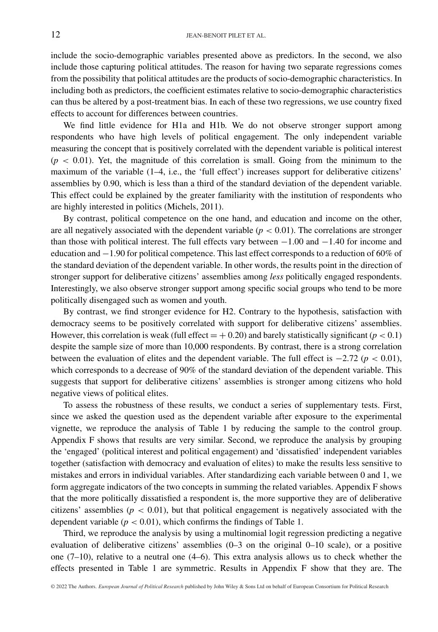include the socio-demographic variables presented above as predictors. In the second, we also include those capturing political attitudes. The reason for having two separate regressions comes from the possibility that political attitudes are the products of socio-demographic characteristics. In including both as predictors, the coefficient estimates relative to socio-demographic characteristics can thus be altered by a post-treatment bias. In each of these two regressions, we use country fixed effects to account for differences between countries.

We find little evidence for H1a and H1b. We do not observe stronger support among respondents who have high levels of political engagement. The only independent variable measuring the concept that is positively correlated with the dependent variable is political interest  $(p < 0.01)$ . Yet, the magnitude of this correlation is small. Going from the minimum to the maximum of the variable (1–4, i.e., the 'full effect') increases support for deliberative citizens' assemblies by 0.90, which is less than a third of the standard deviation of the dependent variable. This effect could be explained by the greater familiarity with the institution of respondents who are highly interested in politics (Michels, 2011).

By contrast, political competence on the one hand, and education and income on the other, are all negatively associated with the dependent variable  $(p < 0.01)$ . The correlations are stronger than those with political interest. The full effects vary between  $-1.00$  and  $-1.40$  for income and education and −1.90 for political competence. This last effect corresponds to a reduction of 60% of the standard deviation of the dependent variable. In other words, the results point in the direction of stronger support for deliberative citizens' assemblies among *less* politically engaged respondents. Interestingly, we also observe stronger support among specific social groups who tend to be more politically disengaged such as women and youth.

By contrast, we find stronger evidence for H2. Contrary to the hypothesis, satisfaction with democracy seems to be positively correlated with support for deliberative citizens' assemblies. However, this correlation is weak (full effect  $= +0.20$ ) and barely statistically significant ( $p < 0.1$ ) despite the sample size of more than 10,000 respondents. By contrast, there is a strong correlation between the evaluation of elites and the dependent variable. The full effect is −2.72 (*p <* 0.01), which corresponds to a decrease of 90% of the standard deviation of the dependent variable. This suggests that support for deliberative citizens' assemblies is stronger among citizens who hold negative views of political elites.

To assess the robustness of these results, we conduct a series of supplementary tests. First, since we asked the question used as the dependent variable after exposure to the experimental vignette, we reproduce the analysis of Table 1 by reducing the sample to the control group. Appendix F shows that results are very similar. Second, we reproduce the analysis by grouping the 'engaged' (political interest and political engagement) and 'dissatisfied' independent variables together (satisfaction with democracy and evaluation of elites) to make the results less sensitive to mistakes and errors in individual variables. After standardizing each variable between 0 and 1, we form aggregate indicators of the two concepts in summing the related variables. Appendix F shows that the more politically dissatisfied a respondent is, the more supportive they are of deliberative citizens' assemblies ( $p < 0.01$ ), but that political engagement is negatively associated with the dependent variable ( $p < 0.01$ ), which confirms the findings of Table 1.

Third, we reproduce the analysis by using a multinomial logit regression predicting a negative evaluation of deliberative citizens' assemblies (0–3 on the original 0–10 scale), or a positive one  $(7-10)$ , relative to a neutral one  $(4-6)$ . This extra analysis allows us to check whether the effects presented in Table 1 are symmetric. Results in Appendix F show that they are. The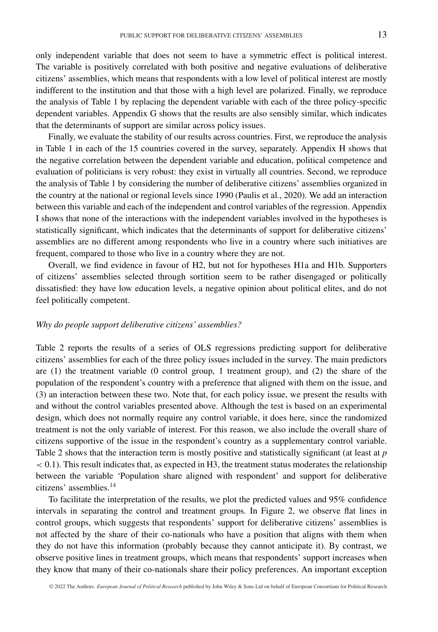only independent variable that does not seem to have a symmetric effect is political interest. The variable is positively correlated with both positive and negative evaluations of deliberative citizens' assemblies, which means that respondents with a low level of political interest are mostly indifferent to the institution and that those with a high level are polarized. Finally, we reproduce the analysis of Table 1 by replacing the dependent variable with each of the three policy-specific dependent variables. Appendix G shows that the results are also sensibly similar, which indicates that the determinants of support are similar across policy issues.

Finally, we evaluate the stability of our results across countries. First, we reproduce the analysis in Table 1 in each of the 15 countries covered in the survey, separately. Appendix H shows that the negative correlation between the dependent variable and education, political competence and evaluation of politicians is very robust: they exist in virtually all countries. Second, we reproduce the analysis of Table 1 by considering the number of deliberative citizens' assemblies organized in the country at the national or regional levels since 1990 (Paulis et al., 2020). We add an interaction between this variable and each of the independent and control variables of the regression. Appendix I shows that none of the interactions with the independent variables involved in the hypotheses is statistically significant, which indicates that the determinants of support for deliberative citizens' assemblies are no different among respondents who live in a country where such initiatives are frequent, compared to those who live in a country where they are not.

Overall, we find evidence in favour of H2, but not for hypotheses H1a and H1b. Supporters of citizens' assemblies selected through sortition seem to be rather disengaged or politically dissatisfied: they have low education levels, a negative opinion about political elites, and do not feel politically competent.

### *Why do people support deliberative citizens' assemblies?*

Table 2 reports the results of a series of OLS regressions predicting support for deliberative citizens' assemblies for each of the three policy issues included in the survey. The main predictors are (1) the treatment variable (0 control group, 1 treatment group), and (2) the share of the population of the respondent's country with a preference that aligned with them on the issue, and (3) an interaction between these two. Note that, for each policy issue, we present the results with and without the control variables presented above. Although the test is based on an experimental design, which does not normally require any control variable, it does here, since the randomized treatment is not the only variable of interest. For this reason, we also include the overall share of citizens supportive of the issue in the respondent's country as a supplementary control variable. Table 2 shows that the interaction term is mostly positive and statistically significant (at least at *p <* 0.1). This result indicates that, as expected in H3, the treatment status moderates the relationship between the variable 'Population share aligned with respondent' and support for deliberative citizens' assemblies.14

To facilitate the interpretation of the results, we plot the predicted values and 95% confidence intervals in separating the control and treatment groups. In Figure 2, we observe flat lines in control groups, which suggests that respondents' support for deliberative citizens' assemblies is not affected by the share of their co-nationals who have a position that aligns with them when they do not have this information (probably because they cannot anticipate it). By contrast, we observe positive lines in treatment groups, which means that respondents' support increases when they know that many of their co-nationals share their policy preferences. An important exception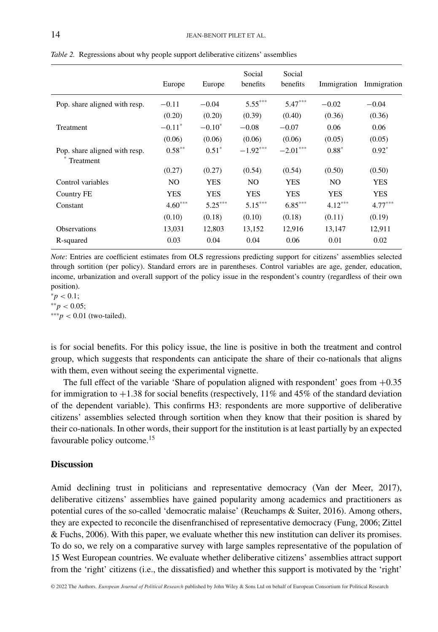|                                            | Europe               | Europe     | Social<br>benefits | Social<br>benefits | Immigration | Immigration |
|--------------------------------------------|----------------------|------------|--------------------|--------------------|-------------|-------------|
| Pop. share aligned with resp.              | $-0.11$              | $-0.04$    | $5.55***$          | $5.47***$          | $-0.02$     | $-0.04$     |
|                                            | (0.20)               | (0.20)     | (0.39)             | (0.40)             | (0.36)      | (0.36)      |
| Treatment                                  | $-0.11$ <sup>*</sup> | $-0.10^*$  | $-0.08$            | $-0.07$            | 0.06        | 0.06        |
|                                            | (0.06)               | (0.06)     | (0.06)             | (0.06)             | (0.05)      | (0.05)      |
| Pop. share aligned with resp.<br>Treatment | $0.58***$            | $0.51*$    | $-1.92***$         | $-2.01***$         | $0.88*$     | $0.92*$     |
|                                            | (0.27)               | (0.27)     | (0.54)             | (0.54)             | (0.50)      | (0.50)      |
| Control variables                          | NO.                  | <b>YES</b> | NO.                | <b>YES</b>         | NO.         | YES         |
| Country FE                                 | YES                  | <b>YES</b> | <b>YES</b>         | <b>YES</b>         | <b>YES</b>  | <b>YES</b>  |
| Constant                                   | $4.60***$            | $5.25***$  | $5.15***$          | $6.85***$          | $4.12***$   | $4.77***$   |
|                                            | (0.10)               | (0.18)     | (0.10)             | (0.18)             | (0.11)      | (0.19)      |
| <b>Observations</b>                        | 13,031               | 12,803     | 13,152             | 12,916             | 13,147      | 12,911      |
| R-squared                                  | 0.03                 | 0.04       | 0.04               | 0.06               | 0.01        | 0.02        |

*Table 2.* Regressions about why people support deliberative citizens' assemblies

*Note*: Entries are coefficient estimates from OLS regressions predicting support for citizens' assemblies selected through sortition (per policy). Standard errors are in parentheses. Control variables are age, gender, education, income, urbanization and overall support of the policy issue in the respondent's country (regardless of their own position).

*;* ∗∗*p <* 0.05; ∗∗∗*p <* 0.01 (two-tailed).

is for social benefits. For this policy issue, the line is positive in both the treatment and control group, which suggests that respondents can anticipate the share of their co-nationals that aligns with them, even without seeing the experimental vignette.

The full effect of the variable 'Share of population aligned with respondent' goes from  $+0.35$ for immigration to  $+1.38$  for social benefits (respectively, 11% and 45% of the standard deviation of the dependent variable). This confirms H3: respondents are more supportive of deliberative citizens' assemblies selected through sortition when they know that their position is shared by their co-nationals. In other words, their support for the institution is at least partially by an expected favourable policy outcome.<sup>15</sup>

## **Discussion**

Amid declining trust in politicians and representative democracy (Van der Meer, 2017), deliberative citizens' assemblies have gained popularity among academics and practitioners as potential cures of the so-called 'democratic malaise' (Reuchamps & Suiter, 2016). Among others, they are expected to reconcile the disenfranchised of representative democracy (Fung, 2006; Zittel & Fuchs, 2006). With this paper, we evaluate whether this new institution can deliver its promises. To do so, we rely on a comparative survey with large samples representative of the population of 15 West European countries. We evaluate whether deliberative citizens' assemblies attract support from the 'right' citizens (i.e., the dissatisfied) and whether this support is motivated by the 'right'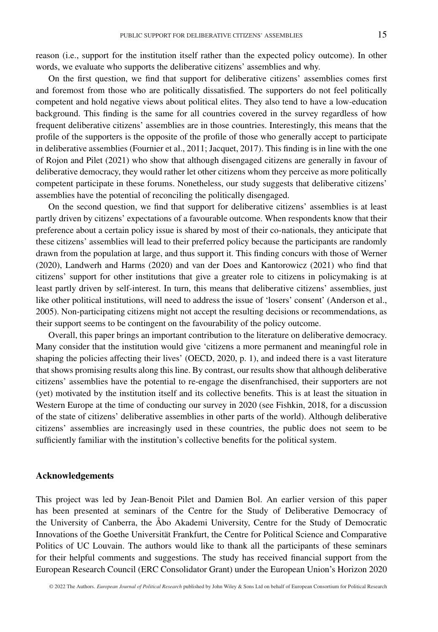reason (i.e., support for the institution itself rather than the expected policy outcome). In other words, we evaluate who supports the deliberative citizens' assemblies and why.

On the first question, we find that support for deliberative citizens' assemblies comes first and foremost from those who are politically dissatisfied. The supporters do not feel politically competent and hold negative views about political elites. They also tend to have a low-education background. This finding is the same for all countries covered in the survey regardless of how frequent deliberative citizens' assemblies are in those countries. Interestingly, this means that the profile of the supporters is the opposite of the profile of those who generally accept to participate in deliberative assemblies (Fournier et al., 2011; Jacquet, 2017). This finding is in line with the one of Rojon and Pilet (2021) who show that although disengaged citizens are generally in favour of deliberative democracy, they would rather let other citizens whom they perceive as more politically competent participate in these forums. Nonetheless, our study suggests that deliberative citizens' assemblies have the potential of reconciling the politically disengaged.

On the second question, we find that support for deliberative citizens' assemblies is at least partly driven by citizens' expectations of a favourable outcome. When respondents know that their preference about a certain policy issue is shared by most of their co-nationals, they anticipate that these citizens' assemblies will lead to their preferred policy because the participants are randomly drawn from the population at large, and thus support it. This finding concurs with those of Werner (2020), Landwerh and Harms (2020) and van der Does and Kantorowicz (2021) who find that citizens' support for other institutions that give a greater role to citizens in policymaking is at least partly driven by self-interest. In turn, this means that deliberative citizens' assemblies, just like other political institutions, will need to address the issue of 'losers' consent' (Anderson et al., 2005). Non-participating citizens might not accept the resulting decisions or recommendations, as their support seems to be contingent on the favourability of the policy outcome.

Overall, this paper brings an important contribution to the literature on deliberative democracy. Many consider that the institution would give 'citizens a more permanent and meaningful role in shaping the policies affecting their lives' (OECD, 2020, p. 1), and indeed there is a vast literature that shows promising results along this line. By contrast, our results show that although deliberative citizens' assemblies have the potential to re-engage the disenfranchised, their supporters are not (yet) motivated by the institution itself and its collective benefits. This is at least the situation in Western Europe at the time of conducting our survey in 2020 (see Fishkin, 2018, for a discussion of the state of citizens' deliberative assemblies in other parts of the world). Although deliberative citizens' assemblies are increasingly used in these countries, the public does not seem to be sufficiently familiar with the institution's collective benefits for the political system.

#### **Acknowledgements**

This project was led by Jean-Benoit Pilet and Damien Bol. An earlier version of this paper has been presented at seminars of the Centre for the Study of Deliberative Democracy of the University of Canberra, the Åbo Akademi University, Centre for the Study of Democratic Innovations of the Goethe Universität Frankfurt, the Centre for Political Science and Comparative Politics of UC Louvain. The authors would like to thank all the participants of these seminars for their helpful comments and suggestions. The study has received financial support from the European Research Council (ERC Consolidator Grant) under the European Union's Horizon 2020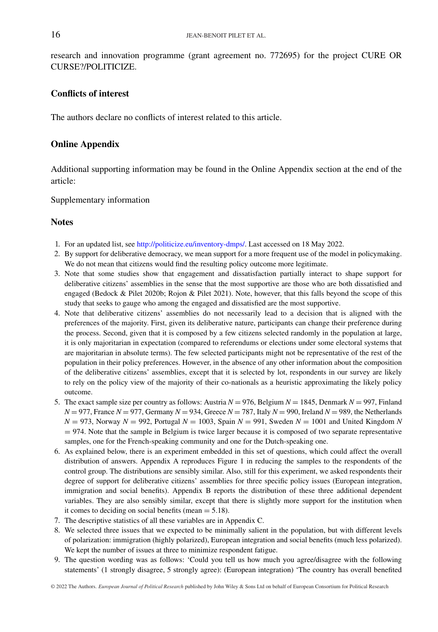research and innovation programme (grant agreement no. 772695) for the project CURE OR CURSE?/POLITICIZE.

## **Conflicts of interest**

The authors declare no conflicts of interest related to this article.

## **Online Appendix**

Additional supporting information may be found in the Online Appendix section at the end of the article:

Supplementary information

## **Notes**

- 1. For an updated list, see [http://politicize.eu/inventory-dmps/.](http://politicize.eu/inventory-dmps/) Last accessed on 18 May 2022.
- 2. By support for deliberative democracy, we mean support for a more frequent use of the model in policymaking. We do not mean that citizens would find the resulting policy outcome more legitimate.
- 3. Note that some studies show that engagement and dissatisfaction partially interact to shape support for deliberative citizens' assemblies in the sense that the most supportive are those who are both dissatisfied and engaged (Bedock & Pilet 2020b; Rojon & Pilet 2021). Note, however, that this falls beyond the scope of this study that seeks to gauge who among the engaged and dissatisfied are the most supportive.
- 4. Note that deliberative citizens' assemblies do not necessarily lead to a decision that is aligned with the preferences of the majority. First, given its deliberative nature, participants can change their preference during the process. Second, given that it is composed by a few citizens selected randomly in the population at large, it is only majoritarian in expectation (compared to referendums or elections under some electoral systems that are majoritarian in absolute terms). The few selected participants might not be representative of the rest of the population in their policy preferences. However, in the absence of any other information about the composition of the deliberative citizens' assemblies, except that it is selected by lot, respondents in our survey are likely to rely on the policy view of the majority of their co-nationals as a heuristic approximating the likely policy outcome.
- 5. The exact sample size per country as follows: Austria  $N = 976$ , Belgium  $N = 1845$ , Denmark  $N = 997$ , Finland  $N = 977$ , France  $N = 977$ , Germany  $N = 934$ , Greece  $N = 787$ , Italy  $N = 990$ , Ireland  $N = 989$ , the Netherlands  $N = 973$ , Norway  $N = 992$ , Portugal  $N = 1003$ , Spain  $N = 991$ , Sweden  $N = 1001$  and United Kingdom *N* = 974. Note that the sample in Belgium is twice larger because it is composed of two separate representative samples, one for the French-speaking community and one for the Dutch-speaking one.
- 6. As explained below, there is an experiment embedded in this set of questions, which could affect the overall distribution of answers. Appendix A reproduces Figure 1 in reducing the samples to the respondents of the control group. The distributions are sensibly similar. Also, still for this experiment, we asked respondents their degree of support for deliberative citizens' assemblies for three specific policy issues (European integration, immigration and social benefits). Appendix B reports the distribution of these three additional dependent variables. They are also sensibly similar, except that there is slightly more support for the institution when it comes to deciding on social benefits (mean  $= 5.18$ ).
- 7. The descriptive statistics of all these variables are in Appendix C.
- 8. We selected three issues that we expected to be minimally salient in the population, but with different levels of polarization: immigration (highly polarized), European integration and social benefits (much less polarized). We kept the number of issues at three to minimize respondent fatigue.
- 9. The question wording was as follows: 'Could you tell us how much you agree/disagree with the following statements' (1 strongly disagree, 5 strongly agree): (European integration) 'The country has overall benefited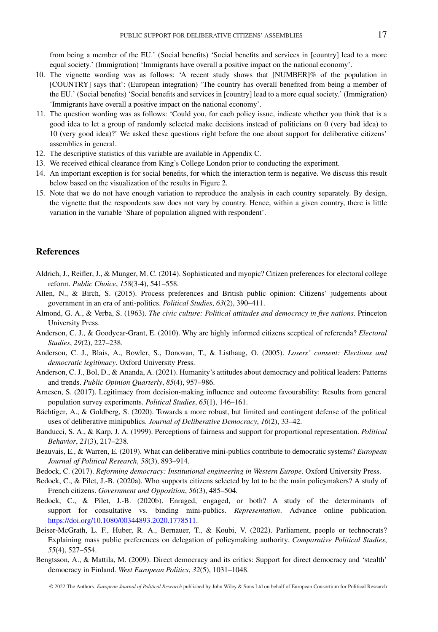from being a member of the EU.' (Social benefits) 'Social benefits and services in [country] lead to a more equal society.' (Immigration) 'Immigrants have overall a positive impact on the national economy'.

- 10. The vignette wording was as follows: 'A recent study shows that [NUMBER]% of the population in [COUNTRY] says that': (European integration) 'The country has overall benefited from being a member of the EU.' (Social benefits) 'Social benefits and services in [country] lead to a more equal society.' (Immigration) 'Immigrants have overall a positive impact on the national economy'.
- 11. The question wording was as follows: 'Could you, for each policy issue, indicate whether you think that is a good idea to let a group of randomly selected make decisions instead of politicians on 0 (very bad idea) to 10 (very good idea)?' We asked these questions right before the one about support for deliberative citizens' assemblies in general.
- 12. The descriptive statistics of this variable are available in Appendix C.
- 13. We received ethical clearance from King's College London prior to conducting the experiment.
- 14. An important exception is for social benefits, for which the interaction term is negative. We discuss this result below based on the visualization of the results in Figure 2.
- 15. Note that we do not have enough variation to reproduce the analysis in each country separately. By design, the vignette that the respondents saw does not vary by country. Hence, within a given country, there is little variation in the variable 'Share of population aligned with respondent'.

### **References**

- Aldrich, J., Reifler, J., & Munger, M. C. (2014). Sophisticated and myopic? Citizen preferences for electoral college reform. *Public Choice*, *158*(3-4), 541–558.
- Allen, N., & Birch, S. (2015). Process preferences and British public opinion: Citizens' judgements about government in an era of anti-politics. *Political Studies*, *63*(2), 390–411.
- Almond, G. A., & Verba, S. (1963). *The civic culture: Political attitudes and democracy in five nations*. Princeton University Press.
- Anderson, C. J., & Goodyear-Grant, E. (2010). Why are highly informed citizens sceptical of referenda? *Electoral Studies*, *29*(2), 227–238.
- Anderson, C. J., Blais, A., Bowler, S., Donovan, T., & Listhaug, O. (2005). *Losers' consent: Elections and democratic legitimacy*. Oxford University Press.
- Anderson, C. J., Bol, D., & Ananda, A. (2021). Humanity's attitudes about democracy and political leaders: Patterns and trends. *Public Opinion Quarterly*, *85*(4), 957–986.
- Arnesen, S. (2017). Legitimacy from decision-making influence and outcome favourability: Results from general population survey experiments. *Political Studies*, *65*(1), 146–161.
- Bächtiger, A., & Goldberg, S. (2020). Towards a more robust, but limited and contingent defense of the political uses of deliberative minipublics. *Journal of Deliberative Democracy*, *16*(2), 33–42.
- Banducci, S. A., & Karp, J. A. (1999). Perceptions of fairness and support for proportional representation. *Political Behavior*, *21*(3), 217–238.
- Beauvais, E., & Warren, E. (2019). What can deliberative mini-publics contribute to democratic systems? *European Journal of Political Research*, *58*(3), 893–914.
- Bedock, C. (2017). *Reforming democracy: Institutional engineering in Western Europe*. Oxford University Press.
- Bedock, C., & Pilet, J.-B. (2020a). Who supports citizens selected by lot to be the main policymakers? A study of French citizens. *Government and Opposition*, *56*(3), 485–504.
- Bedock, C., & Pilet, J.-B. (2020b). Enraged, engaged, or both? A study of the determinants of support for consultative vs. binding mini-publics. *Representation*. Advance online publication. [https://doi.org/10.1080/00344893.2020.1778511.](https://doi.org/10.1080/00344893.2020.1778511)
- Beiser-McGrath, L. F., Huber, R. A., Bernauer, T., & Koubi, V. (2022). Parliament, people or technocrats? Explaining mass public preferences on delegation of policymaking authority. *Comparative Political Studies*, *55*(4), 527–554.
- Bengtsson, A., & Mattila, M. (2009). Direct democracy and its critics: Support for direct democracy and 'stealth' democracy in Finland. *West European Politics*, *32*(5), 1031–1048.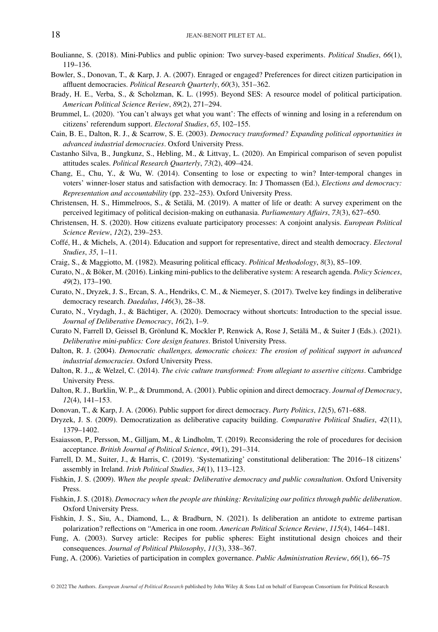- Boulianne, S. (2018). Mini-Publics and public opinion: Two survey-based experiments. *Political Studies*, *66*(1), 119–136.
- Bowler, S., Donovan, T., & Karp, J. A. (2007). Enraged or engaged? Preferences for direct citizen participation in affluent democracies. *Political Research Quarterly*, *60*(3), 351–362.
- Brady, H. E., Verba, S., & Scholzman, K. L. (1995). Beyond SES: A resource model of political participation. *American Political Science Review*, *89*(2), 271–294.
- Brummel, L. (2020). 'You can't always get what you want': The effects of winning and losing in a referendum on citizens' referendum support. *Electoral Studies*, *65*, 102–155.
- Cain, B. E., Dalton, R. J., & Scarrow, S. E. (2003). *Democracy transformed? Expanding political opportunities in advanced industrial democracies*. Oxford University Press.
- Castanho Silva, B., Jungkunz, S., Hebling, M., & Littvay, L. (2020). An Empirical comparison of seven populist attitudes scales. *Political Research Quarterly*, *73*(2), 409–424.
- Chang, E., Chu, Y., & Wu, W. (2014). Consenting to lose or expecting to win? Inter-temporal changes in voters' winner-loser status and satisfaction with democracy. In: J Thomassen (Ed.), *Elections and democracy: Representation and accountability* (pp. 232–253). Oxford University Press.
- Christensen, H. S., Himmelroos, S., & Setälä, M. (2019). A matter of life or death: A survey experiment on the perceived legitimacy of political decision-making on euthanasia. *Parliamentary Affairs*, *73*(3), 627–650.
- Christensen, H. S. (2020). How citizens evaluate participatory processes: A conjoint analysis. *European Political Science Review*, *12*(2), 239–253.
- Coffé, H., & Michels, A. (2014). Education and support for representative, direct and stealth democracy. *Electoral Studies*, *35*, 1–11.
- Craig, S., & Maggiotto, M. (1982). Measuring political efficacy. *Political Methodology*, *8*(3), 85–109.
- Curato, N., & Böker, M. (2016). Linking mini-publics to the deliberative system: A research agenda. *Policy Sciences*, *49*(2), 173–190.
- Curato, N., Dryzek, J. S., Ercan, S. A., Hendriks, C. M., & Niemeyer, S. (2017). Twelve key findings in deliberative democracy research. *Daedalus*, *146*(3), 28–38.
- Curato, N., Vrydagh, J., & Bächtiger, A. (2020). Democracy without shortcuts: Introduction to the special issue. *Journal of Deliberative Democracy*, *16*(2), 1–9.
- Curato N, Farrell D, Geissel B, Grönlund K, Mockler P, Renwick A, Rose J, Setälä M., & Suiter J (Eds.). (2021). *Deliberative mini-publics: Core design features*. Bristol University Press.
- Dalton, R. J. (2004). *Democratic challenges, democratic choices: The erosion of political support in advanced industrial democracies*. Oxford University Press.
- Dalton, R. J.,, & Welzel, C. (2014). *The civic culture transformed: From allegiant to assertive citizens*. Cambridge University Press.
- Dalton, R. J., Burklin, W. P.,, & Drummond, A. (2001). Public opinion and direct democracy. *Journal of Democracy*, *12*(4), 141–153.
- Donovan, T., & Karp, J. A. (2006). Public support for direct democracy. *Party Politics*, *12*(5), 671–688.
- Dryzek, J. S. (2009). Democratization as deliberative capacity building. *Comparative Political Studies*, *42*(11), 1379–1402.
- Esaiasson, P., Persson, M., Gilljam, M., & Lindholm, T. (2019). Reconsidering the role of procedures for decision acceptance. *British Journal of Political Science*, *49*(1), 291–314.
- Farrell, D. M., Suiter, J., & Harris, C. (2019). 'Systematizing' constitutional deliberation: The 2016–18 citizens' assembly in Ireland. *Irish Political Studies*, *34*(1), 113–123.
- Fishkin, J. S. (2009). *When the people speak: Deliberative democracy and public consultation*. Oxford University Press.
- Fishkin, J. S. (2018). *Democracy when the people are thinking: Revitalizing our politics through public deliberation*. Oxford University Press.
- Fishkin, J. S., Siu, A., Diamond, L., & Bradburn, N. (2021). Is deliberation an antidote to extreme partisan polarization? reflections on "America in one room. *American Political Science Review*, *115*(4), 1464–1481.
- Fung, A. (2003). Survey article: Recipes for public spheres: Eight institutional design choices and their consequences. *Journal of Political Philosophy*, *11*(3), 338–367.
- Fung, A. (2006). Varieties of participation in complex governance. *Public Administration Review*, *66*(1), 66–75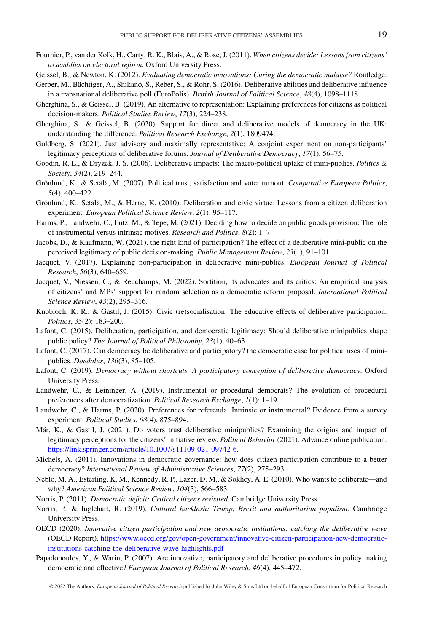- Fournier, P., van der Kolk, H., Carty, R. K., Blais, A., & Rose, J. (2011). *When citizens decide: Lessons from citizens' assemblies on electoral reform*. Oxford University Press.
- Geissel, B., & Newton, K. (2012). *Evaluating democratic innovations: Curing the democratic malaise?* Routledge.
- Gerber, M., Bächtiger, A., Shikano, S., Reber, S., & Rohr, S. (2016). Deliberative abilities and deliberative influence in a transnational deliberative poll (EuroPolis). *British Journal of Political Science*, *48*(4), 1098–1118.
- Gherghina, S., & Geissel, B. (2019). An alternative to representation: Explaining preferences for citizens as political decision-makers. *Political Studies Review*, *17*(3), 224–238.
- Gherghina, S., & Geissel, B. (2020). Support for direct and deliberative models of democracy in the UK: understanding the difference. *Political Research Exchange*, *2*(1), 1809474.
- Goldberg, S. (2021). Just advisory and maximally representative: A conjoint experiment on non-participants' legitimacy perceptions of deliberative forums. *Journal of Deliberative Democracy*, *17*(1), 56–75.
- Goodin, R. E., & Dryzek, J. S. (2006). Deliberative impacts: The macro-political uptake of mini-publics. *Politics & Society*, *34*(2), 219–244.
- Grönlund, K., & Setälä, M. (2007). Political trust, satisfaction and voter turnout. *Comparative European Politics*, *5*(4), 400–422.
- Grönlund, K., Setälä, M., & Herne, K. (2010). Deliberation and civic virtue: Lessons from a citizen deliberation experiment. *European Political Science Review*, *2*(1): 95–117.
- Harms, P., Landwehr, C., Lutz, M., & Tepe, M. (2021). Deciding how to decide on public goods provision: The role of instrumental versus intrinsic motives. *Research and Politics*, *8*(2): 1–7.
- Jacobs, D., & Kaufmann, W. (2021). the right kind of participation? The effect of a deliberative mini-public on the perceived legitimacy of public decision-making. *Public Management Review*, *23*(1), 91–101.
- Jacquet, V. (2017). Explaining non-participation in deliberative mini-publics. *European Journal of Political Research*, *56*(3), 640–659.
- Jacquet, V., Niessen, C., & Reuchamps, M. (2022). Sortition, its advocates and its critics: An empirical analysis of citizens' and MPs' support for random selection as a democratic reform proposal. *International Political Science Review*, *43*(2), 295–316.
- Knobloch, K. R., & Gastil, J. (2015). Civic (re)socialisation: The educative effects of deliberative participation. *Politics*, *35*(2): 183–200.
- Lafont, C. (2015). Deliberation, participation, and democratic legitimacy: Should deliberative minipublics shape public policy? *The Journal of Political Philosophy*, *23*(1), 40–63.
- Lafont, C. (2017). Can democracy be deliberative and participatory? the democratic case for political uses of minipublics. *Daedalus*, *136*(3), 85–105.
- Lafont, C. (2019). *Democracy without shortcuts. A participatory conception of deliberative democracy*. Oxford University Press.
- Landwehr, C., & Leininger, A. (2019). Instrumental or procedural democrats? The evolution of procedural preferences after democratization. *Political Research Exchange*, *1*(1): 1–19.
- Landwehr, C., & Harms, P. (2020). Preferences for referenda: Intrinsic or instrumental? Evidence from a survey experiment. *Political Studies*, *68*(4), 875–894.
- Már, K., & Gastil, J. (2021). Do voters trust deliberative minipublics? Examining the origins and impact of legitimacy perceptions for the citizens' initiative review. *Political Behavior* (2021). Advance online publication. [https://link.springer.com/article/10.1007/s11109-021-09742-6.](https://link.springer.com/article/10.1007/s11109-021-09742-6)
- Michels, A. (2011). Innovations in democratic governance: how does citizen participation contribute to a better democracy? *International Review of Administrative Sciences*, *77*(2), 275–293.
- Neblo, M. A., Esterling, K. M., Kennedy, R. P., Lazer, D. M., & Sokhey, A. E. (2010). Who wants to deliberate—and why? *American Political Science Review*, *104*(3), 566–583.
- Norris, P. (2011). *Democratic deficit: Critical citizens revisited*. Cambridge University Press.
- Norris, P., & Inglehart, R. (2019). *Cultural backlash: Trump, Brexit and authoritarian populism*. Cambridge University Press.
- OECD (2020). *Innovative citizen participation and new democratic institutions: catching the deliberative wave* (OECD Report). [https://www.oecd.org/gov/open-government/innovative-citizen-participation-new-democratic](https://www.oecd.org/gov/open-government/innovative-citizen-participation-new-democratic-institutions-catching-the-deliberative-wave-highlights.pdf)[institutions-catching-the-deliberative-wave-highlights.pdf](https://www.oecd.org/gov/open-government/innovative-citizen-participation-new-democratic-institutions-catching-the-deliberative-wave-highlights.pdf)
- Papadopoulos, Y., & Warin, P. (2007). Are innovative, participatory and deliberative procedures in policy making democratic and effective? *European Journal of Political Research*, *46*(4), 445–472.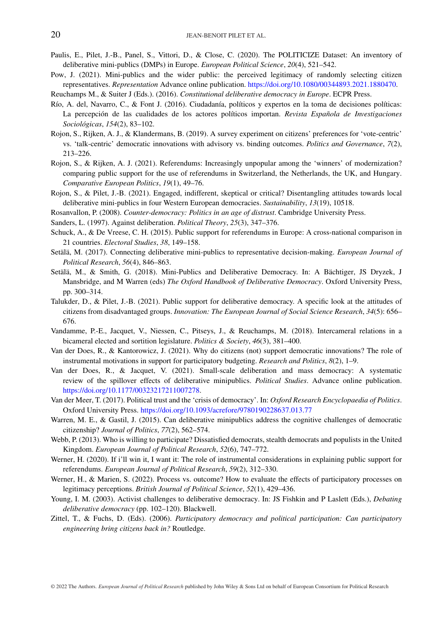- Paulis, E., Pilet, J.-B., Panel, S., Vittori, D., & Close, C. (2020). The POLITICIZE Dataset: An inventory of deliberative mini-publics (DMPs) in Europe. *European Political Science*, *20*(4), 521–542.
- Pow, J. (2021). Mini-publics and the wider public: the perceived legitimacy of randomly selecting citizen representatives. *Representation* Advance online publication. [https://doi.org/10.1080/00344893.2021.1880470.](https://doi.org/10.1080/00344893.2021.1880470)

Reuchamps M., & Suiter J (Eds.). (2016). *Constitutional deliberative democracy in Europe*. ECPR Press.

- Río, A. del, Navarro, C., & Font J. (2016). Ciudadanía, políticos y expertos en la toma de decisiones políticas: La percepción de las cualidades de los actores políticos importan. *Revista Española de Investigaciones Sociológicas*, *154*(2), 83–102.
- Rojon, S., Rijken, A. J., & Klandermans, B. (2019). A survey experiment on citizens' preferences for 'vote-centric' vs. 'talk-centric' democratic innovations with advisory vs. binding outcomes. *Politics and Governance*, *7*(2), 213–226.
- Rojon, S., & Rijken, A. J. (2021). Referendums: Increasingly unpopular among the 'winners' of modernization? comparing public support for the use of referendums in Switzerland, the Netherlands, the UK, and Hungary. *Comparative European Politics*, *19*(1), 49–76.
- Rojon, S., & Pilet, J.-B. (2021). Engaged, indifferent, skeptical or critical? Disentangling attitudes towards local deliberative mini-publics in four Western European democracies. *Sustainability*, *13*(19), 10518.

Rosanvallon, P. (2008). *Counter-democracy: Politics in an age of distrust*. Cambridge University Press.

Sanders, L. (1997). Against deliberation. *Political Theory*, *25*(3), 347–376.

- Schuck, A., & De Vreese, C. H. (2015). Public support for referendums in Europe: A cross-national comparison in 21 countries. *Electoral Studies*, *38*, 149–158.
- Setälä, M. (2017). Connecting deliberative mini-publics to representative decision-making. *European Journal of Political Research*, *56*(4), 846–863.
- Setälä, M., & Smith, G. (2018). Mini-Publics and Deliberative Democracy. In: A Bächtiger, JS Dryzek, J Mansbridge, and M Warren (eds) *The Oxford Handbook of Deliberative Democracy*. Oxford University Press, pp. 300–314.
- Talukder, D., & Pilet, J.-B. (2021). Public support for deliberative democracy. A specific look at the attitudes of citizens from disadvantaged groups. *Innovation: The European Journal of Social Science Research*, *34*(5): 656– 676.
- Vandamme, P.-E., Jacquet, V., Niessen, C., Pitseys, J., & Reuchamps, M. (2018). Intercameral relations in a bicameral elected and sortition legislature. *Politics & Society*, *46*(3), 381–400.
- Van der Does, R., & Kantorowicz, J. (2021). Why do citizens (not) support democratic innovations? The role of instrumental motivations in support for participatory budgeting. *Research and Politics*, *8*(2), 1–9.
- Van der Does, R., & Jacquet, V. (2021). Small-scale deliberation and mass democracy: A systematic review of the spillover effects of deliberative minipublics. *Political Studies*. Advance online publication. [https://doi.org/10.1177/00323217211007278.](https://doi.org/10.1177/00323217211007278)
- Van der Meer, T. (2017). Political trust and the 'crisis of democracy'. In: *Oxford Research Encyclopaedia of Politics*. Oxford University Press. <https://doi.org/10.1093/acrefore/9780190228637.013.77>
- Warren, M. E., & Gastil, J. (2015). Can deliberative minipublics address the cognitive challenges of democratic citizenship? *Journal of Politics*, *77*(2), 562–574.
- Webb, P. (2013). Who is willing to participate? Dissatisfied democrats, stealth democrats and populists in the United Kingdom. *European Journal of Political Research*, *52*(6), 747–772.
- Werner, H. (2020). If i'll win it, I want it: The role of instrumental considerations in explaining public support for referendums. *European Journal of Political Research*, *59*(2), 312–330.
- Werner, H., & Marien, S. (2022). Process vs. outcome? How to evaluate the effects of participatory processes on legitimacy perceptions. *British Journal of Political Science*, *52*(1), 429–436.
- Young, I. M. (2003). Activist challenges to deliberative democracy. In: JS Fishkin and P Laslett (Eds.), *Debating deliberative democracy* (pp. 102–120). Blackwell.
- Zittel, T., & Fuchs, D. (Eds). (2006). *Participatory democracy and political participation: Can participatory engineering bring citizens back in?* Routledge.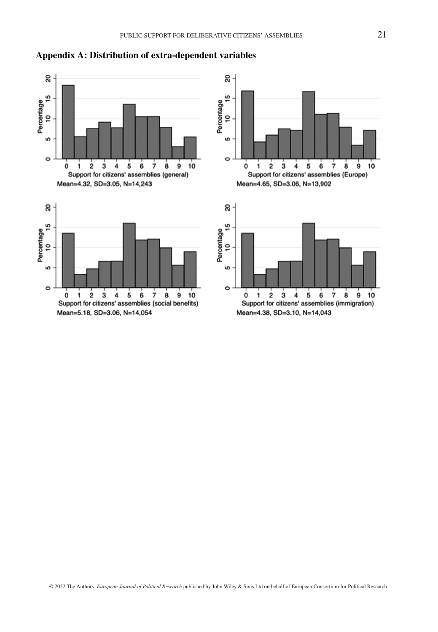



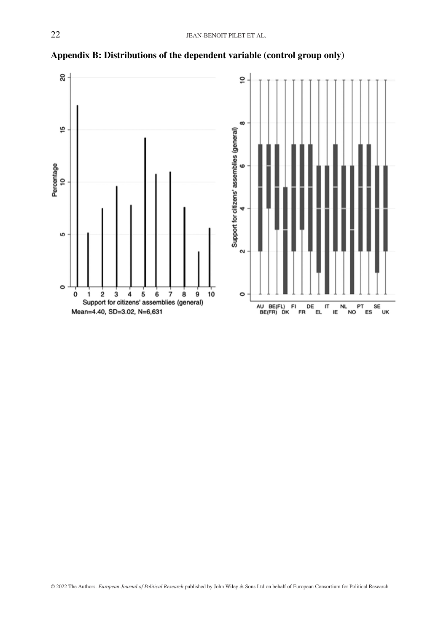

**Appendix B: Distributions of the dependent variable (control group only)**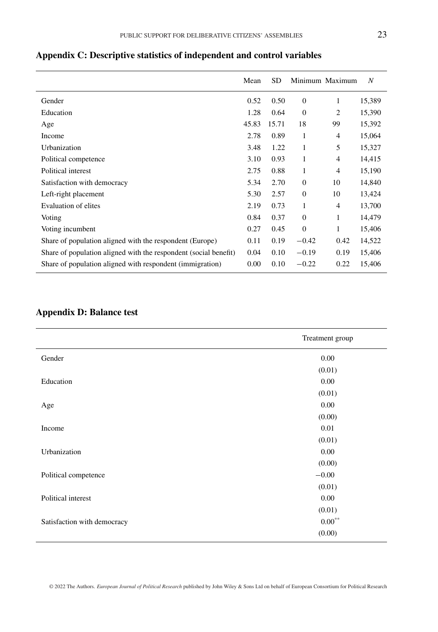|                                                                  | Mean  | SD.   |              | Minimum Maximum | N      |
|------------------------------------------------------------------|-------|-------|--------------|-----------------|--------|
| Gender                                                           | 0.52  | 0.50  | $\theta$     | 1               | 15,389 |
| Education                                                        | 1.28  | 0.64  | $\mathbf{0}$ | 2               | 15,390 |
| Age                                                              | 45.83 | 15.71 | 18           | 99              | 15,392 |
| Income                                                           | 2.78  | 0.89  | 1            | $\overline{4}$  | 15,064 |
| Urbanization                                                     | 3.48  | 1.22  | 1            | 5               | 15,327 |
| Political competence                                             | 3.10  | 0.93  | 1            | $\overline{4}$  | 14,415 |
| Political interest                                               | 2.75  | 0.88  | 1            | $\overline{4}$  | 15,190 |
| Satisfaction with democracy                                      | 5.34  | 2.70  | $\theta$     | 10              | 14,840 |
| Left-right placement                                             | 5.30  | 2.57  | $\Omega$     | 10              | 13,424 |
| Evaluation of elites                                             | 2.19  | 0.73  | 1            | $\overline{4}$  | 13,700 |
| Voting                                                           | 0.84  | 0.37  | $\theta$     | 1               | 14,479 |
| Voting incumbent                                                 | 0.27  | 0.45  | $\mathbf{0}$ | 1               | 15,406 |
| Share of population aligned with the respondent (Europe)         | 0.11  | 0.19  | $-0.42$      | 0.42            | 14,522 |
| Share of population aligned with the respondent (social benefit) | 0.04  | 0.10  | $-0.19$      | 0.19            | 15,406 |
| Share of population aligned with respondent (immigration)        | 0.00  | 0.10  | $-0.22$      | 0.22            | 15,406 |

# **Appendix C: Descriptive statistics of independent and control variables**

# **Appendix D: Balance test**

|                             | Treatment group   |
|-----------------------------|-------------------|
| Gender                      | 0.00              |
|                             | (0.01)            |
| Education                   | 0.00              |
|                             | (0.01)            |
| Age                         | 0.00              |
|                             | (0.00)            |
| Income                      | 0.01              |
|                             | (0.01)            |
| Urbanization                | 0.00              |
|                             | (0.00)            |
| Political competence        | $-0.00$           |
|                             | (0.01)            |
| Political interest          | 0.00              |
|                             | (0.01)            |
| Satisfaction with democracy | $0.00^{\ast\ast}$ |
|                             | (0.00)            |

© 2022 The Authors. *European Journal of Political Research* published by John Wiley & Sons Ltd on behalf of European Consortium for Political Research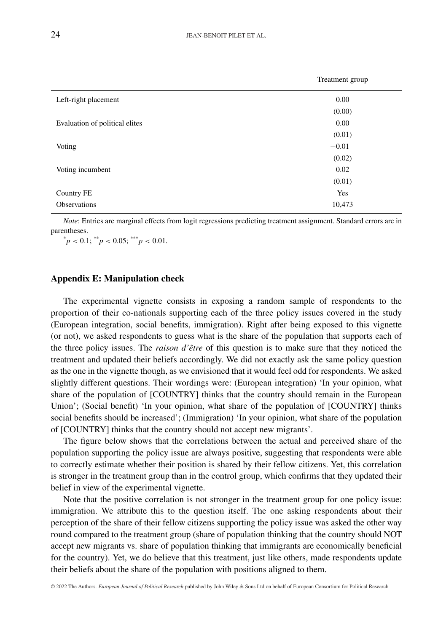|                                | Treatment group |
|--------------------------------|-----------------|
| Left-right placement           | 0.00            |
|                                | (0.00)          |
| Evaluation of political elites | 0.00            |
|                                | (0.01)          |
| Voting                         | $-0.01$         |
|                                | (0.02)          |
| Voting incumbent               | $-0.02$         |
|                                | (0.01)          |
| Country FE                     | Yes             |
| <b>Observations</b>            | 10,473          |

*Note*: Entries are marginal effects from logit regressions predicting treatment assignment. Standard errors are in parentheses.

 $^{*}p$  < 0.1;  $^{**}p$  < 0.05;  $^{***}p$  < 0.01.

## **Appendix E: Manipulation check**

The experimental vignette consists in exposing a random sample of respondents to the proportion of their co-nationals supporting each of the three policy issues covered in the study (European integration, social benefits, immigration). Right after being exposed to this vignette (or not), we asked respondents to guess what is the share of the population that supports each of the three policy issues. The *raison d'être* of this question is to make sure that they noticed the treatment and updated their beliefs accordingly. We did not exactly ask the same policy question as the one in the vignette though, as we envisioned that it would feel odd for respondents. We asked slightly different questions. Their wordings were: (European integration) 'In your opinion, what share of the population of [COUNTRY] thinks that the country should remain in the European Union'; (Social benefit) 'In your opinion, what share of the population of [COUNTRY] thinks social benefits should be increased'; (Immigration) 'In your opinion, what share of the population of [COUNTRY] thinks that the country should not accept new migrants'.

The figure below shows that the correlations between the actual and perceived share of the population supporting the policy issue are always positive, suggesting that respondents were able to correctly estimate whether their position is shared by their fellow citizens. Yet, this correlation is stronger in the treatment group than in the control group, which confirms that they updated their belief in view of the experimental vignette.

Note that the positive correlation is not stronger in the treatment group for one policy issue: immigration. We attribute this to the question itself. The one asking respondents about their perception of the share of their fellow citizens supporting the policy issue was asked the other way round compared to the treatment group (share of population thinking that the country should NOT accept new migrants vs. share of population thinking that immigrants are economically beneficial for the country). Yet, we do believe that this treatment, just like others, made respondents update their beliefs about the share of the population with positions aligned to them.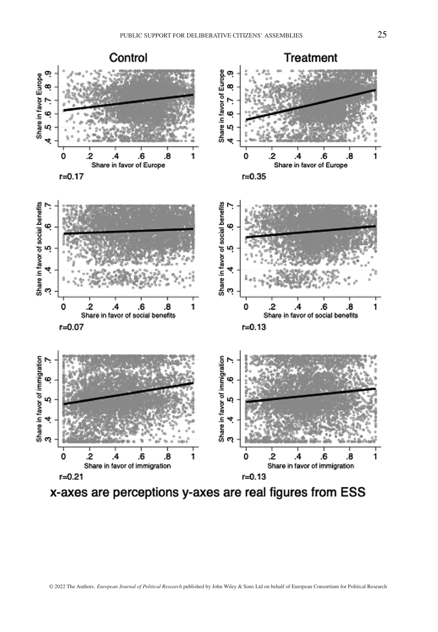

x-axes are perceptions y-axes are real figures from ESS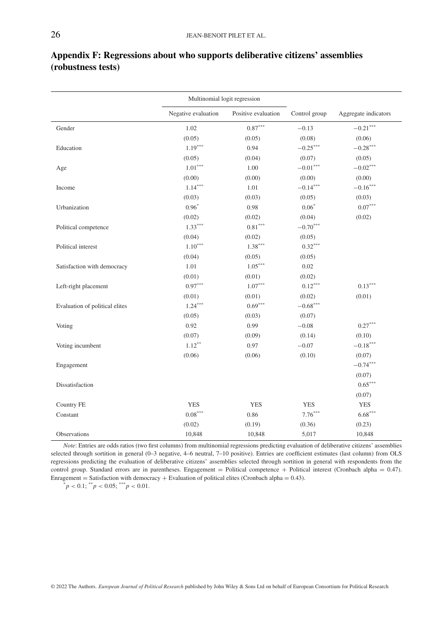|                                | Multinomial logit regression |                     |               |                        |
|--------------------------------|------------------------------|---------------------|---------------|------------------------|
|                                | Negative evaluation          | Positive evaluation | Control group | Aggregate indicators   |
| Gender                         | 1.02                         | $0.87***$           | $-0.13$       | $-0.21^{\ast\ast\ast}$ |
|                                | (0.05)                       | (0.05)              | (0.08)        | (0.06)                 |
| Education                      | $1.19***$                    | 0.94                | $-0.25***$    | $-0.28***$             |
|                                | (0.05)                       | (0.04)              | (0.07)        | (0.05)                 |
| Age                            | $1.01***$                    | 1.00                | $-0.01***$    | $-0.02***$             |
|                                | (0.00)                       | (0.00)              | (0.00)        | (0.00)                 |
| Income                         | $1.14***$                    | 1.01                | $-0.14***$    | $-0.16***$             |
|                                | (0.03)                       | (0.03)              | (0.05)        | (0.03)                 |
| Urbanization                   | $0.96*$                      | 0.98                | $0.06*$       | $0.07^{\ast\ast\ast}$  |
|                                | (0.02)                       | (0.02)              | (0.04)        | (0.02)                 |
| Political competence           | $1.33***$                    | $0.81***$           | $-0.70***$    |                        |
|                                | (0.04)                       | (0.02)              | (0.05)        |                        |
| Political interest             | $1.10***$                    | $1.38***$           | $0.32***$     |                        |
|                                | (0.04)                       | (0.05)              | (0.05)        |                        |
| Satisfaction with democracy    | 1.01                         | $1.05***$           | 0.02          |                        |
|                                | (0.01)                       | (0.01)              | (0.02)        |                        |
| Left-right placement           | $0.97***$                    | $1.07***$           | $0.12***$     | $0.13***$              |
|                                | (0.01)                       | (0.01)              | (0.02)        | (0.01)                 |
| Evaluation of political elites | $1.24***$                    | $0.69***$           | $-0.68***$    |                        |
|                                | (0.05)                       | (0.03)              | (0.07)        |                        |
| Voting                         | 0.92                         | 0.99                | $-0.08$       | $0.27***$              |
|                                | (0.07)                       | (0.09)              | (0.14)        | (0.10)                 |
| Voting incumbent               | $1.12***$                    | 0.97                | $-0.07$       | $-0.18***$             |
|                                | (0.06)                       | (0.06)              | (0.10)        | (0.07)                 |
| Engagement                     |                              |                     |               | $-0.74***$             |
|                                |                              |                     |               | (0.07)                 |
| Dissatisfaction                |                              |                     |               | $0.65***$              |
|                                |                              |                     |               | (0.07)                 |
| Country FE                     | <b>YES</b>                   | <b>YES</b>          | <b>YES</b>    | <b>YES</b>             |
| Constant                       | $0.08***$                    | 0.86                | $7.76***$     | $6.68***$              |
|                                | (0.02)                       | (0.19)              | (0.36)        | (0.23)                 |
| Observations                   | 10,848                       | 10,848              | 5,017         | 10,848                 |

# **Appendix F: Regressions about who supports deliberative citizens' assemblies (robustness tests)**

*Note*: Entries are odds ratios (two first columns) from multinomial regressions predicting evaluation of deliberative citizens' assemblies selected through sortition in general (0–3 negative, 4–6 neutral, 7–10 positive). Entries are coefficient estimates (last column) from OLS regressions predicting the evaluation of deliberative citizens' assemblies selected through sortition in general with respondents from the control group. Standard errors are in parentheses. Engagement = Political competence + Political interest (Cronbach alpha = 0.47). Enragement <sup>=</sup> Satisfaction with democracy <sup>+</sup> Evaluation of political elites (Cronbach alpha <sup>=</sup> 0.43). \**<sup>p</sup> <sup>&</sup>lt;* 0.1; \*\**<sup>p</sup> <sup>&</sup>lt;* 0.05; \*\*\**<sup>p</sup> <sup>&</sup>lt;* 0.01.

© 2022 The Authors. *European Journal of Political Research* published by John Wiley & Sons Ltd on behalf of European Consortium for Political Research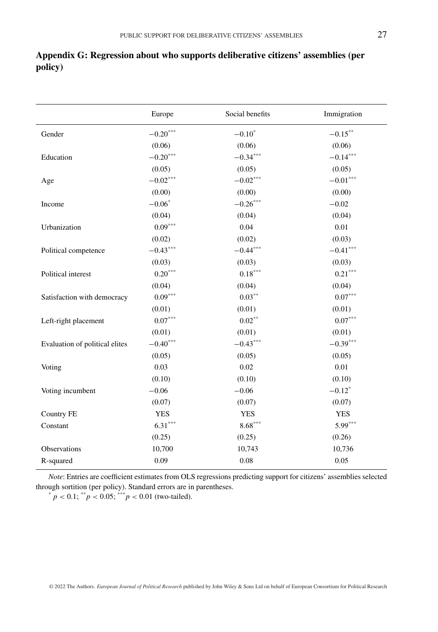|                                | Europe                | Social benefits       | Immigration            |
|--------------------------------|-----------------------|-----------------------|------------------------|
| Gender                         | $-0.20***$            | $-0.10*$              | $-0.15***$             |
|                                | (0.06)                | (0.06)                | (0.06)                 |
| Education                      | $-0.20***$            | $-0.34***$            | $-0.14***$             |
|                                | (0.05)                | (0.05)                | (0.05)                 |
| Age                            | $-0.02***$            | $-0.02***$            | $-0.01^{\ast\ast\ast}$ |
|                                | (0.00)                | (0.00)                | (0.00)                 |
| Income                         | $-0.06*$              | $-0.26***$            | $-0.02$                |
|                                | (0.04)                | (0.04)                | (0.04)                 |
| Urbanization                   | $0.09***$             | 0.04                  | 0.01                   |
|                                | (0.02)                | (0.02)                | (0.03)                 |
| Political competence           | $-0.43***$            | $-0.44***$            | $-0.41***$             |
|                                | (0.03)                | (0.03)                | (0.03)                 |
| Political interest             | $0.20***$             | $0.18^{\ast\ast\ast}$ | $0.21***$              |
|                                | (0.04)                | (0.04)                | (0.04)                 |
| Satisfaction with democracy    | $0.09***$             | $0.03***$             | $0.07***$              |
|                                | (0.01)                | (0.01)                | (0.01)                 |
| Left-right placement           | $0.07^{\ast\ast\ast}$ | $0.02***$             | $0.07***$              |
|                                | (0.01)                | (0.01)                | (0.01)                 |
| Evaluation of political elites | $-0.40***$            | $-0.43***$            | $-0.39***$             |
|                                | (0.05)                | (0.05)                | (0.05)                 |
| Voting                         | 0.03                  | 0.02                  | 0.01                   |
|                                | (0.10)                | (0.10)                | (0.10)                 |
| Voting incumbent               | $-0.06$               | $-0.06$               | $-0.12$ <sup>*</sup>   |
|                                |                       |                       |                        |

# **Appendix G: Regression about who supports deliberative citizens' assemblies (per policy)**

*Note*: Entries are coefficient estimates from OLS regressions predicting support for citizens' assemblies selected through sortition (per policy). Standard errors are in parentheses.

Country FE YES YES YES Constant 6.31\*\*\* 8.68\*\*\* 8.68\*\*\* 5.99\*\*\*

Observations 10,700 10,743 10,736 R-squared 0.09 0.08 0.05

 $(0.07)$   $(0.07)$   $(0.07)$ 

 $(0.25)$   $(0.25)$   $(0.26)$ 

 $p^* = p < 0.1$ ; \*\* $p < 0.05$ ; \*\*\* $p < 0.01$  (two-tailed).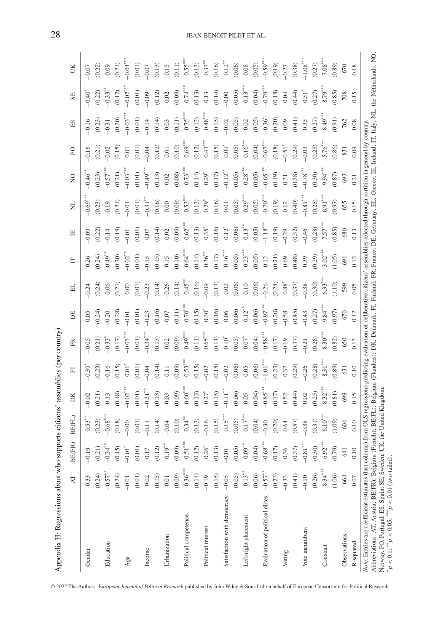| Appendix H: Regressions about who supports citizens'                                                                                                                                    |            |                                               |                                                                                                                                                      |            | assemblies (per country) |            |            |                      |                        |                       |                      |               |                      |               |                     |            |
|-----------------------------------------------------------------------------------------------------------------------------------------------------------------------------------------|------------|-----------------------------------------------|------------------------------------------------------------------------------------------------------------------------------------------------------|------------|--------------------------|------------|------------|----------------------|------------------------|-----------------------|----------------------|---------------|----------------------|---------------|---------------------|------------|
|                                                                                                                                                                                         | R          | $\widehat{R}$<br><b>BE</b>                    | BE(FL)                                                                                                                                               | DK         | 匸                        | FŘ         | E          | ㅂ                    | E                      | 巴                     | E                    | $\frac{1}{2}$ | <b>PO</b>            | $\mathbb{E}S$ | SE                  | UK         |
| Gender                                                                                                                                                                                  | 0.33       | $-0.19$                                       | $0.53*$                                                                                                                                              | $-0.02$    | $-0.39$                  | $-0.05$    | 0.05       | $-0.24$              | 0.26                   | $-0.09$               | $-0.69$ <sup>*</sup> | $-0.46$       | $-0.16$              | $-0.16$       | $-0.40$             | $-0.07$    |
|                                                                                                                                                                                         | (0.24)     | (0.21)                                        | (0.23)                                                                                                                                               | (0.21)     | (0.23)                   | (0.21)     | (0.24)     | (0.24)               | (0.24)                 | (0.22)                | (0.23)               | (0.23)        | (0.21)               | (0.23)        | (0.22)              | (0.22)     |
| Education                                                                                                                                                                               | $-0.57***$ | $-0.34***$                                    | $-0.68***$                                                                                                                                           | 0.13       | 0.16                     | $-0.33$    | $-0.20$    | 0.06                 | $-0.49***$             | 0.14                  | 0.19                 | $0.57***$     | 0.02                 | $-0.31$       | $0.33$ <sup>*</sup> | 0.09       |
|                                                                                                                                                                                         | (0.24)     | $(0.15)$<br>-0.01 <sup>*</sup>                | (0.18)                                                                                                                                               | (0.18)     | (0.15)                   | (0.17)     | (0.28)     | (0.21)               | (0.20)                 | (0.19)                | (0.21)               | (0.21)        | (0.15)               | (0.20)        | (0.17)              | (0.21)     |
| Age                                                                                                                                                                                     | $-0.01$    |                                               | 0.00                                                                                                                                                 | $-0.02***$ | $0.01$ <sup>*</sup>      | $-0.03***$ | $-0.01$    | 0.00                 | $-0.02***$             | $-0.01$               | $-0.01$              | $-0.03***$    | 0.01                 | $-0.03***$    | $-0.02$             | $-0.04***$ |
|                                                                                                                                                                                         | (0.01)     | $\begin{array}{c} (0.01)\\ 0.17 \end{array}$  | (0.01)                                                                                                                                               | (0.01)     | (0.01)                   | (0.01)     | (0.01)     | (0.01)               | (0.01)                 | (0.01)                | (0.01)               | (0.01)        | (0.01)               | (0.01)        | (0.01)              | (0.01)     |
| Income                                                                                                                                                                                  | 0.02       |                                               | $-0.11$                                                                                                                                              | $-0.31***$ | $-0.04$                  | $-0.34***$ | $-0.23$    | $-0.23$              | $-0.15$                | $0.07$                | $-0.31***$           | $-0.49***$    | $-0.04$              | $-0.14$       | $-0.09$             | $-0.07$    |
|                                                                                                                                                                                         | (0.15)     | $(0.12)$                                      | (0.14)                                                                                                                                               | (0.13)     | (0.14)                   | (0.13)     | (0.16)     | (0.14)               | (0.15)                 | (0.14)                | (0.16)               | (0.13)        | (0.12)               | (0.14)        | (0.12)              | (0.13)     |
| Urbanization                                                                                                                                                                            | $0.01$     | $0.19***$                                     | $-0.04$                                                                                                                                              | $0.03\,$   | $-0.11$                  | $0.02\,$   | $-0.07$    | $-0.26$              | 0.15                   | 0.02                  | 0.00                 | $0.02\,$      | 0.01                 | $-0.03$       | $0.02\,$            | 0.15       |
|                                                                                                                                                                                         | (0.09)     | (0.09)                                        | (0.10)                                                                                                                                               | (0.09)     | (0.09)                   | (0.09)     | (0.11)     | (0.14)               | (0.10)                 | (0.09)                | (0.09)               | (0.08)        | (0.10)               | (0.11)        | (0.09)              | (0.11)     |
| Political competence                                                                                                                                                                    | $-0.36***$ | $-0.51^{\ast\ast\ast}$                        | $-0.34***$                                                                                                                                           | $-0.60**$  | $-0.53***$               | $-0.49***$ | $-0.70***$ | $-0.45$ <sup>*</sup> | $-0.64$ <sup>***</sup> | $-0.62$ <sup>*</sup>  | $-0.53$ <sup>*</sup> | $-0.73^{**}$  | $-0.69***$           | $-0.75$ *     | $-0.74$             | $-0.55***$ |
|                                                                                                                                                                                         | (0.14)     | $(0.12)$<br>$0.26^*$                          | (0.13)                                                                                                                                               | (0.13)     | (0.15)                   | (0.11)     | (0.15)     | (0.16)               | (0.14)                 | (0.13)                | (0.13)               | (0.14)        | (0.12)               | (0.12)        | (0.13)              | (0.13)     |
| Political interest                                                                                                                                                                      | $-0.19$    |                                               | $-0.16$                                                                                                                                              | $0.27^{3}$ | $-0.02$                  | $0.65***$  | $0.30*$    | $-0.09$              | $0.36***$              | $0.35^{*}$            | $0.29*$              | $0.29*$       | $0.43***$            | $0.48***$     | 0.13                | $0.37***$  |
|                                                                                                                                                                                         | (0.15)     |                                               | (0.15)                                                                                                                                               | (0.15)     | (0.15)                   | $(0.14)$   | (0.16)     | $(0.17)$             | $(0.17)$               | (0.16)                | (0.16)               | $(0.17)$      | (0.15)               | (0.15)        | (0.14)              | (0.16)     |
| Satisfaction with democracy                                                                                                                                                             | $-0.05$    | $(0.13)$<br>-0.01                             | $0.15***$                                                                                                                                            | $-0.11***$ | $-0.02$                  | $0.10^{*}$ | $0.06$     | $0.02\,$             | $0.16***$              | $0.12*$               | 0.01                 | $-0.12***$    | $0.09*$              | $-0.02$       | $-0.00$             | $0.12***$  |
|                                                                                                                                                                                         | (0.05)     | $(0.05)$                                      | (0.05)                                                                                                                                               | (0.06)     | (0.06)                   | (0.05)     | (0.06)     | (0.06)               | (0.05)                 | (0.06)                | (0.05)               | (0.05)        | (0.05)               | (0.05)        | (0.05)              | (0.06)     |
| Left-right placement                                                                                                                                                                    | $0.13***$  | $0.09^{**}$                                   | $0.17***$                                                                                                                                            | 0.05       | 0.05                     | $0.07*$    | $0.12***$  | 0.10                 | $0.23***$              | $0.13***$             | $0.29***$            | $0.28***$     | $0.16***$            | 0.02          | $0.13***$           | $0.08\,$   |
|                                                                                                                                                                                         | (0.06)     | $(0.04)$<br>-0.68 <sup>***</sup>              | (0.04)                                                                                                                                               | (0.04)     | (0.06)                   | (0.04)     | (0.06)     | (0.06)               | (0.05)                 | (0.05)                | (0.05)               | (0.05)        | (0.04)               | (0.05)        | (0.04)              | (0.05)     |
| Evaluation of political elites                                                                                                                                                          | $-0.57**$  |                                               | $-0.30$                                                                                                                                              | $-0.85***$ | $-1.01***$               | $-0.58***$ | $-0.97***$ | $-0.26$              | 0.12                   | $-1.18$ <sup>**</sup> | $-0.70***$           | $-0.65***$    | $-0.67***$           | $-0.36^{*}$   | $-0.79***$          | $-0.59***$ |
|                                                                                                                                                                                         | (0.23)     |                                               | (0.20)                                                                                                                                               | (0.17)     | (0.23)                   | (0.17)     | (0.20)     | (0.24)               | (0.21)                 | (0.19)                | (0.19)               | (0.19)        | (0.18)               | (0.20)        | (0.18)              | (0.19)     |
| Voting                                                                                                                                                                                  | $-0.33$    | $\begin{array}{c} (0.17) \\ 0.36 \end{array}$ | 0.64                                                                                                                                                 | 0.52       | 0.37                     | $-0.19$    | $-0.58$    | $0.88^{*}$           | 0.69                   | $-0.29$               | 0.12                 | 0.31          | $-0.51$ <sup>*</sup> | 0.09          | 0.04                | $-0.27$    |
|                                                                                                                                                                                         | (0.41)     | $(0.37)$                                      | (0.57)                                                                                                                                               | (0.44)     | (0.29)                   | (0.37)     | (0.45)     | (0.37)               | (0.48)                 | (0.32)                | (0.40)               | (0.38)        | (0.29)               | (0.41)        | (0.44)              | (0.38)     |
| Vote incumbent                                                                                                                                                                          | $-0.10$    | $-0.81^{\ast\ast\ast}$                        | 0.38                                                                                                                                                 | 0.02       | $-0.26$                  | $-0.21$    | $-0.43$    | $-0.38$              | 0.39                   | $-0.46$               | $-0.81***$           | $-0.78***$    | $-0.03$              | 0.35          | $0.51$ <sup>*</sup> | $-1.08***$ |
|                                                                                                                                                                                         | (0.26)     | $(0.30)$<br>6.92***                           | (0.31)                                                                                                                                               | (0.25)     | (0.28)                   | (0.28)     | (0.27)     | (0.30)               | (0.29)                 | (0.28)                | (0.25)               | (0.30)        | (0.25)               | (0.27)        | (0.27)              | (0.27)     |
| Constant                                                                                                                                                                                | $8.34***$  |                                               | $6.10***$                                                                                                                                            | $8.32***$  | $8.31***$                | $8.30***$  | $9.84***$  | $6.33***$            | $3.02***$              | $7.57***$             | $6.91***$            | $9.94***$     | $5.76***$            | $8.49***$     | $8.79***$           | $7.08***$  |
|                                                                                                                                                                                         | (1.06)     | (0.79)                                        | (1.09)                                                                                                                                               | (0.81)     | (0.89)                   | (0.82)     | (0.97)     | (1.10)               | (1.05)                 | (0.85)                | (0.97)               | (0.87)        | (0.86)               | (16.0)        | (0.85)              | (0.89)     |
| Observations                                                                                                                                                                            | 664        | 641                                           | 604                                                                                                                                                  | 699        | 631                      | 650        | 670        | 599                  | 691                    | 680                   | 655                  | 693           | 831                  | 762           | 708                 | 670        |
| R-squared                                                                                                                                                                               | 0.07       | 0.10                                          | 0.10                                                                                                                                                 | 0.15       | 0.10                     | 0.13       | 0.12       | 0.05                 | 0.12                   | 0.13                  | 0.15                 | 0.21          | 0.09                 | 0.08          | 0.15                | 0.18       |
| Note: Entries are coefficient estimates (last column) from OLS regressions predicting evaluation of deliberative citizens' assemblies selected through sortition in general by country. |            |                                               |                                                                                                                                                      |            |                          |            |            |                      |                        |                       |                      |               |                      |               |                     |            |
| Abbreviations: AT, Austria; BE(FR), Belgium (                                                                                                                                           |            |                                               | French); BE(FL), Belgium (Flanders); DK, Denmark; FI, Finland; FR, France; DE, Germany; EL, Greece; IE, Ireland; IT, Italy; NL, the Netherlands; NO, |            |                          |            |            |                      |                        |                       |                      |               |                      |               |                     |            |
| Norway, PO, Portugal; ES, Spain; SE, Sweden;<br>$p < 0.1$ ; $\binom{18}{19} < 0.05$ ; $\binom{18}{19} < 0.01$ (two-tailed).                                                             |            |                                               | UK, the United Kingdom                                                                                                                               |            |                          |            |            |                      |                        |                       |                      |               |                      |               |                     |            |

© 2022 The Authors. *European Journal of Political Research* published by John Wiley & Sons Ltd on behalf of European Consortium for Political Research

## 28 JEAN-BENOIT PILET ET AL.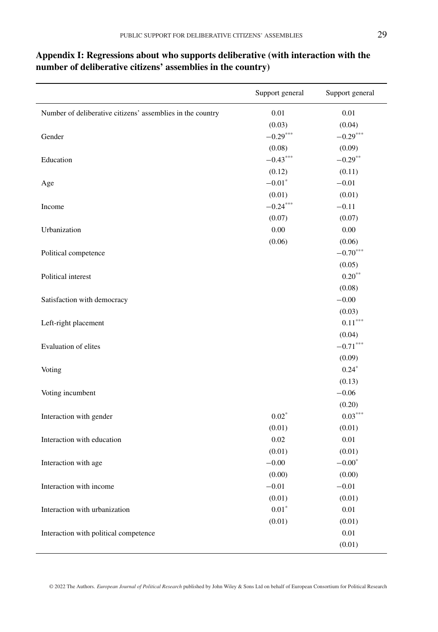|                                                            | Support general | Support general       |
|------------------------------------------------------------|-----------------|-----------------------|
| Number of deliberative citizens' assemblies in the country | 0.01            | 0.01                  |
|                                                            | (0.03)          | (0.04)                |
| Gender                                                     | $-0.29***$      | $-0.29***$            |
|                                                            | (0.08)          | (0.09)                |
| Education                                                  | $-0.43***$      | $-0.29***$            |
|                                                            | (0.12)          | (0.11)                |
| Age                                                        | $-0.01*$        | $-0.01$               |
|                                                            | (0.01)          | (0.01)                |
| Income                                                     | $-0.24***$      | $-0.11$               |
|                                                            | (0.07)          | (0.07)                |
| Urbanization                                               | 0.00            | 0.00                  |
|                                                            | (0.06)          | (0.06)                |
| Political competence                                       |                 | $-0.70***$            |
|                                                            |                 | (0.05)                |
| Political interest                                         |                 | $0.20**$              |
|                                                            |                 | (0.08)                |
| Satisfaction with democracy                                |                 | $-0.00$               |
|                                                            |                 | (0.03)                |
| Left-right placement                                       |                 | $0.11^{\ast\ast\ast}$ |
|                                                            |                 | (0.04)                |
| Evaluation of elites                                       |                 | $-0.71***$            |
|                                                            |                 | (0.09)                |
| Voting                                                     |                 | $0.24*$               |
|                                                            |                 | (0.13)                |
| Voting incumbent                                           |                 | $-0.06$               |
|                                                            |                 | (0.20)                |
| Interaction with gender                                    | $0.02*$         | $0.03***$             |
|                                                            | (0.01)          | (0.01)                |
| Interaction with education                                 | 0.02            | 0.01                  |
|                                                            | (0.01)          | (0.01)                |
| Interaction with age                                       | $-0.00$         | $-0.00^\ast$          |
|                                                            | (0.00)          | (0.00)                |
| Interaction with income                                    | $-0.01$         | $-0.01$               |
|                                                            | (0.01)          | (0.01)                |
| Interaction with urbanization                              | $0.01*$         | 0.01                  |
|                                                            | (0.01)          | (0.01)                |
| Interaction with political competence                      |                 | 0.01                  |
|                                                            |                 | (0.01)                |

# **Appendix I: Regressions about who supports deliberative (with interaction with the number of deliberative citizens' assemblies in the country)**

© 2022 The Authors. *European Journal of Political Research* published by John Wiley & Sons Ltd on behalf of European Consortium for Political Research